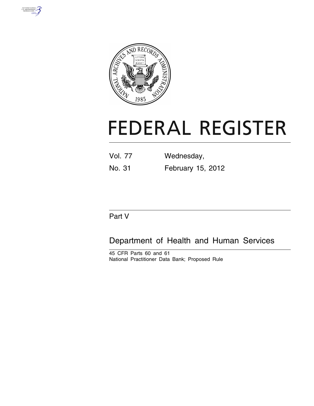



# **FEDERAL REGISTER**

| <b>Vol. 77</b> | Wednesday,        |
|----------------|-------------------|
| No. 31         | February 15, 2012 |

# Part V

# Department of Health and Human Services

45 CFR Parts 60 and 61 National Practitioner Data Bank; Proposed Rule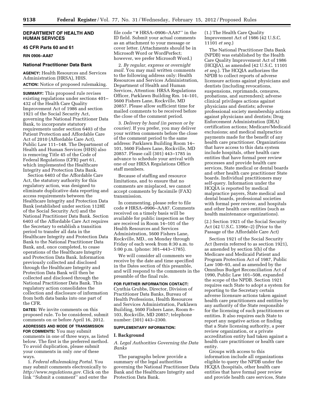# **DEPARTMENT OF HEALTH AND HUMAN SERVICES**

# **45 CFR Parts 60 and 61**

**RIN 0906–AA87** 

# **National Practitioner Data Bank**

**AGENCY:** Health Resources and Services Administration (HRSA), HHS. **ACTION:** Notice of proposed rulemaking.

**SUMMARY:** This proposed rule revises existing regulations under sections 401– 432 of the Health Care Quality Improvement Act of 1986 and section 1921 of the Social Security Act, governing the National Practitioner Data Bank, to incorporate statutory requirements under section 6403 of the Patient Protection and Affordable Care Act of 2010 (Affordable Care Act), Public Law 111–148. The Department of Health and Human Services (HHS) also is removing Title 45 of the Code of Federal Regulations (CFR) part 61, which implemented the Healthcare Integrity and Protection Data Bank.

Section 6403 of the Affordable Care Act, the statutory authority for this regulatory action, was designed to eliminate duplicative data reporting and access requirements between the Healthcare Integrity and Protection Data Bank (established under section 1128E of the Social Security Act) and the National Practitioner Data Bank. Section 6403 of the Affordable Care Act requires the Secretary to establish a transition period to transfer all data in the Healthcare Integrity and Protection Data Bank to the National Practitioner Data Bank, and, once completed, to cease operations of the Healthcare Integrity and Protection Data Bank. Information previously collected and disclosed through the Healthcare Integrity and Protection Data Bank will then be collected and disclosed through the National Practitioner Data Bank. This regulatory action consolidates the collection and disclosure of information from both data banks into one part of the CFR.

**DATES:** We invite comments on this proposed rule. To be considered, submit comments on or before April 16, 2012.

**ADDRESSES AND MODE OF TRANSMISSION FOR COMMENTS:** You may submit comments in one of three ways, as listed below. The first is the preferred method. To avoid duplication, please submit your comments in only *one* of these ways.

1. *Federal eRulemaking Portal.* You may submit comments electronically to *[http://www.regulations.gov.](http://www.regulations.gov)* Click on the link ''Submit a comment'' and enter the

file code ''# HRSA–0906–AA87'' in the ID field. Submit your actual comments as an attachment to your message or cover letter. (Attachments should be in Microsoft Word or WordPerfect; however, we prefer Microsoft Word.)

2. *By regular, express or overnight mail.* You may mail written comments to the following address only: Health Resources and Services Administration, Department of Health and Human Services, Attention: HRSA Regulations Officer, Parklawn Building Rm. 14–101, 5600 Fishers Lane, Rockville, MD 20857. Please allow sufficient time for mailed comments to be received before the close of the comment period.

3. *Delivery by hand (in person or by courier).* If you prefer, you may deliver your written comments before the close of the comment period to the same address: Parklawn Building Room 14– 101, 5600 Fishers Lane, Rockville, MD 20857. Please call (301) 443–1785 in advance to schedule your arrival with one of our HRSA Regulations Office staff members.

Because of staffing and resource limitations, and to ensure that no comments are misplaced, we cannot accept comments by facsimile (FAX) transmission.

In commenting, please refer to file code # HRSA–0906–AA87. Comments received on a timely basis will be available for public inspection as they are received in Room 14–101 of the Health Resources and Services Administration, 5600 Fishers Lane, Rockville, MD., on Monday through Friday of each week from 8:30 a.m. to 5:00 p.m. (phone: 301–443–1785).

We will consider all comments we receive by the date and time specified in the Dates section of this preamble, and will respond to the comments in the preamble of the final rule.

# **FOR FURTHER INFORMATION CONTACT:**

Cynthia Grubbs, Director, Division of Practitioner Data Banks, Bureau of Health Professions, Health Resources and Services Administration, Parklawn Building, 5600 Fishers Lane, Room 8– 103, Rockville, MD 20857; telephone number: (301) 443–2300.

# **SUPPLEMENTARY INFORMATION:**

# **I. Background**

*A. Legal Authorities Governing the Data Banks* 

The paragraphs below provide a summary of the legal authorities governing the National Practitioner Data Bank and the Healthcare Integrity and Protection Data Bank.

(1.) The Health Care Quality Improvement Act of 1986 (42 U.S.C. 11101 *et seq.*)

The National Practitioner Data Bank (NPDB) was established by the Health Care Quality Improvement Act of 1986 (HCQIA), as amended (42 U.S.C. 11101 *et seq.*). The HCQIA authorizes the NPDB to collect reports of adverse licensure actions against physicians and dentists (including revocations, suspensions, reprimands, censures, probations, and surrenders); adverse clinical privileges actions against physicians and dentists; adverse professional society membership actions against physicians and dentists; Drug Enforcement Administration (DEA) certification actions; Medicare/Medicaid exclusions; and medical malpractice payments made for the benefit of any health care practitioner. Organizations that have access to this data system include hospitals, other health care entities that have formal peer review processes and provide health care services, State medical or dental boards and other health care practitioner State boards. Individual practitioners may self-query. Information under the HCQIA is reported by medical malpractice payers, State medical and dental boards, professional societies with formal peer review, and hospitals and other health care entities (such as health maintenance organizations).

(2.) Section 1921 of the Social Security Act (42 U.S.C. 1396r–2) (Prior to the Passage of the Affordable Care Act)

Section 1921 of the Social Security Act (herein referred to as section 1921), as amended by section 5(b) of the Medicare and Medicaid Patient and Program Protection Act of 1987, Public Law 100–93, and as amended by the Omnibus Budget Reconciliation Act of 1990, Public Law 101–508, expanded the scope of the NPDB. Section 1921 requires each State to adopt a system for reporting to the Secretary certain adverse licensure actions taken against health care practitioners and entities by any authority of the State responsible for the licensing of such practitioners or entities. It also requires each State to report any negative action or finding that a State licensing authority, a peer review organization, or a private accreditation entity had taken against a health care practitioner or health care entity.

Groups with access to this information include all organizations eligible to query the NPDB under the HCQIA (hospitals, other health care entities that have formal peer review and provide health care services, State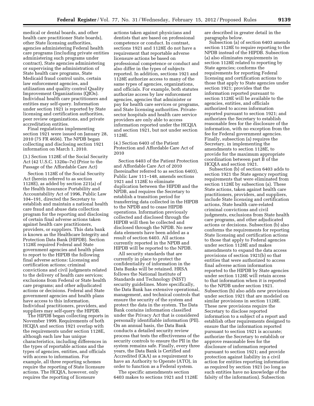medical or dental boards, and other health care practitioner State boards), other State licensing authorities, agencies administering Federal health care programs (including private entities administering such programs under contract), State agencies administering or supervising the administration of State health care programs, State Medicaid fraud control units, certain law enforcement agencies, and utilization and quality control Quality Improvement Organizations (QIOs). Individual health care practitioners and entities may self-query. Information under section 1921 is reported by State licensing and certification authorities, peer review organizations, and private accreditation entities.

Final regulations implementing section 1921 were issued on January 28, 2010 (75 FR 4656). The NPDB began collecting and disclosing section 1921 information on March 1, 2010.

(3.) Section 1128E of the Social Security Act (42 U.S.C. 1320a–7e) (Prior to the Passage of the Affordable Care Act)

Section 1128E of the Social Security Act (herein referred to as section 1128E), as added by section 221(a) of the Health Insurance Portability and Accountability Act of 1996, Public Law 104–191, directed the Secretary to establish and maintain a national health care fraud and abuse data collection program for the reporting and disclosing of certain final adverse actions taken against health care practitioners, providers, or suppliers. This data bank is known as the Healthcare Integrity and Protection Data Bank (HIPDB). Section 1128E required Federal and State government agencies and health plans to report to the HIPDB the following final adverse actions: Licensing and certification actions; criminal convictions and civil judgments related to the delivery of health care services; exclusions from Federal or State health care programs; and other adjudicated actions or decisions. Federal and State government agencies and health plans have access to this information. Individual practitioners, providers, and suppliers may self-query the HIPDB.

The HIPDB began collecting reports in November 1999. Requirements of both HCQIA and section 1921 overlap with the requirements under section 1128E, although each law has unique characteristics, including differences in the types of reportable actions and the types of agencies, entities, and officials with access to information. For example, all three reporting schemes require the reporting of State licensure actions. The HCQIA, however, only requires the reporting of licensure

actions taken against physicians and dentists that are based on professional competence or conduct. In contrast, sections 1921 and 1128E do not have a requirement that reportable adverse licensure actions be based on professional competence or conduct and also differ in the types of subjects reported. In addition, sections 1921 and 1128E authorize access to many of the same types of agencies, organizations, and officials. For example, both statutes authorize access by law enforcement agencies, agencies that administer or pay for health care services or programs, and State licensing authorities. Privatesector hospitals and health care service providers are only able to access information reported under the HCQIA and section 1921, but not under section 1128E.

(4.) Section 6403 of the Patient Protection and Affordable Care Act of 2010

Section 6403 of the Patient Protection and Affordable Care Act of 2010 (hereinafter referred to as section 6403), Public Law 111–148, amends sections 1921 and 1128E to eliminate duplication between the HIPDB and the NPDB, and requires the Secretary to establish a transition period for transferring data collected in the HIPDB to the NPDB and to cease HIPDB operations. Information previously collected and disclosed through the HIPDB will then be collected and disclosed through the NPDB. No new data elements have been added as a result of section 6403. All actions currently reported in the NPDB and HIPDB will be reported to the NPDB.

All security standards that are currently in place to protect the confidentiality of information in the Data Banks will be retained. HRSA follows the National Institute of Standards and Technology (NIST) security guidelines. More specifically, the Data Bank has extensive operational, management, and technical controls that ensure the security of the system and protect the data in the system. The Data Bank contains information classified under the Privacy Act that is considered personally identifiable information (PII). On an annual basis, the Data Bank conducts a detailed security review process that tests the effectiveness of the security controls to ensure the PII in the system remains safe. Finally, every three years, the Data Bank is Certified and Accredited (C&A) as a requirement to have an Authority to Operate (ATO), in order to function as a Federal system.

The specific amendments section 6403 makes to sections 1921 and 1128E are described in greater detail in the paragraphs below.

Subsection (a) of section 6403 amends section 1128E to require reporting to the NPDB instead of the HIPDB. Subsection (a) also eliminates requirements in section 1128E related to reporting by State agencies; conforms the requirements for reporting Federal licensing and certification actions to those that apply to State agencies under section 1921; provides that the information reported pursuant to section 1128E will be available to the agencies, entities, and officials authorized to access information reported pursuant to section 1921; and authorizes the Secretary to establish reasonable fees for the disclosure of the information, with no exception from the fee for Federal government agencies. Finally, subsection (a) requires the Secretary, in implementing the amendments to section 1128E, to provide for the maximum appropriate coordination between part B of the HCQIA and section 1921.

Subsection (b) of section 6403 adds to section 1921 the State agency reporting requirements that were eliminated from section 1128E by subsection (a). These State actions, taken against health care practitioners, providers, and suppliers, include State licensing and certification actions, State health care-related criminal convictions and civil judgments, exclusions from State health care programs, and other adjudicated actions or decisions. Subsection (b) also conforms the requirements for reporting State licensing and certification actions to those that apply to Federal agencies under section 1128E and makes amendments to expand the data access provisions of section 1921(b) so that entities that were authorized to access final adverse action information reported to the HIPDB by State agencies under section 1128E will retain access to that information when it is reported to the NPDB under section 1921. Subsection (b) also adds new provisions under section 1921 that are modeled on similar provisions in section 1128E. These new provisions require the Secretary to disclose reported information to a subject of a report and establish other requirements designed to ensure that the information reported pursuant to section 1921 is accurate; authorize the Secretary to establish or approve reasonable fees for the disclosure of information reported pursuant to section 1921; and provide protection against liability in a civil action for entities reporting information as required by section 1921 (so long as such entities have no knowledge of the falsity of the information). Subsection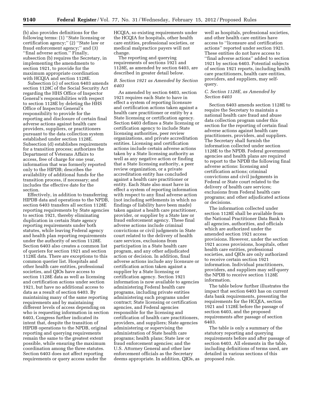(b) also provides definitions for the following terms: (1) ''State licensing or certification agency;'' (2) ''State law or fraud enforcement agency;'' and (3) "final adverse action." Finally, subsection (b) requires the Secretary, in implementing the amendments to section 1921, to provide for the maximum appropriate coordination with HCQIA and section 1128E.

Subsection (c) of section 6403 amends section 1128C of the Social Security Act regarding the HHS Office of Inspector General's responsibilities with respect to section 1128E by deleting the HHS Office of Inspector General's responsibility to provide for the reporting and disclosure of certain final adverse actions against health care providers, suppliers, or practitioners pursuant to the data collection system established under section 1128E. Subsection (d) establishes requirements for a transition process; authorizes the Department of Veterans Affairs to access, free of charge for one year, information that was formerly reported only to the HIPDB; describes the availability of additional funds for the transition process, if necessary; and includes the effective date for the section.

Effectively, in addition to transferring HIPDB data and operations to the NPDB, section 6403 transfers all section 1128E reporting requirements by State agencies to section 1921, thereby eliminating duplication in certain State agency reporting requirements under both statutes, while leaving Federal agency and health plan reporting requirements under the authority of section 1128E. Section 6403 also creates a common list of queriers for section 1921 and section 1128E data. There are exceptions to this common querier list. Hospitals and other health care entities, professional societies, and QIOs have access to section 1128E data as well as licensing and certification actions under section 1921, but have no additional access to data as a result of section 6403. By maintaining many of the same reporting requirements and by maintaining different levels of access depending on who is requesting information in section 6403, Congress further indicated its intent that, despite the transition of HIPDB operations to the NPDB, original reporting and querying requirements remain the same to the greatest extent possible, while ensuring the maximum coordination among the three statutes. Section 6403 does not affect reporting requirements or query access under the

HCQIA, so existing requirements under the HCQIA for hospitals, other health care entities, professional societies, or medical malpractice payers will not change.

The reporting and querying requirements of sections 1921 and 1128E, as amended by section 6403, are described in greater detail below.

# *B. Section 1921 as Amended by Section 6403*

As amended by section 6403, section 1921 requires each State to have in effect a system of reporting licensure and certification actions taken against a health care practitioner or entity by a State licensing or certification agency. Section 6403 defines a State licensing or certification agency to include State licensing authorities, peer review organizations, and private accreditation entities. Licensing and certification actions include certain adverse actions taken by a State licensing authority as well as any negative action or finding that a State licensing authority, a peer review organization, or a private accreditation entity has concluded against a health care practitioner or entity. Each State also must have in effect a system of reporting information with respect to any final adverse action (not including settlements in which no findings of liability have been made) taken against a health care practitioner, provider, or supplier by a State law or fraud enforcement agency. These final adverse actions include criminal convictions or civil judgments in State court related to the delivery of health care services, exclusions from participation in a State health care program, and any other adjudicated action or decision. In addition, final adverse actions include any licensure or certification action taken against a supplier by a State licensing or certification agency. Section 1921 information is now available to agencies administering Federal health care programs, including private entities administering such programs under contract; State licensing or certification agencies, and Federal agencies responsible for the licensing and certification of health care practitioners, providers, and suppliers; State agencies administering or supervising the administration of State health care programs; health plans; State law or fraud enforcement agencies; and the U.S. Attorney General and other law enforcement officials as the Secretary deems appropriate. In addition, QIOs, as

well as hospitals, professional societies, and other health care entities have access to ''licensure and certification actions'' reported under section 1921. These entities do not have access to ''final adverse actions'' added to section 1921 by section 6403. Potential subjects of section 1921 reports, including health care practitioners, health care entities, providers, and suppliers, may selfquery.

# *C. Section 1128E, as Amended by Section 6403*

Section 6403 amends section 1128E to require the Secretary to maintain a national health care fraud and abuse data collection program under this section for the reporting of certain final adverse actions against health care practitioners, providers, and suppliers. The Secretary shall furnish the information collected under section 1128E to the NPDB. Federal government agencies and health plans are required to report to the NPDB the following final adverse actions: licensing and certification actions; criminal convictions and civil judgments in Federal or State court related to the delivery of health care services; exclusions from Federal health care programs; and other adjudicated actions or decisions.

The information collected under section 1128E shall be available from the National Practitioner Data Bank to all agencies, authorities, and officials which are authorized under the amended section 1921 access provisions. However, under the section 1921 access provisions, hospitals, other health care entities, professional societies, and QIOs are only authorized to receive certain section 1921 information. Individual practitioners, providers, and suppliers may self-query the NPDB to receive section 1128E information.

The table below further illustrates the impact that section 6403 has on current data bank requirements, presenting the requirements for the HCQIA, section 1921 and 1128E before the passage of section 6403, and the proposed requirements after passage of section 6403.

The table is only a summary of the statutory reporting and querying requirements before and after passage of section 6403. All elements in the table, including definitions of terms used, are detailed in various sections of this proposed rule.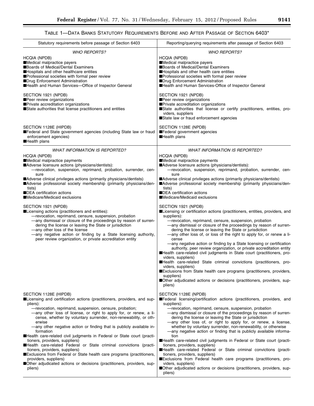▀

# TABLE 1—DATA BANKS STATUTORY REQUIREMENTS BEFORE AND AFTER PASSAGE OF SECTION 6403\*

| Statutory requirements before passage of Section 6403                                                                                                                                                                                                                                                                                                                                                                                                                                                                                                                                                                                                                                                                                                                                                                                                                                  | Reporting/querying requirements after passage of Section 6403                                                                                                                                                                                                                                                                                                                                                                                                                                                                                                                                                                                                                                                                                                                                                                                                                                                                                                                                                                                                                                                                                                                                                                                                                                                                                                                 |
|----------------------------------------------------------------------------------------------------------------------------------------------------------------------------------------------------------------------------------------------------------------------------------------------------------------------------------------------------------------------------------------------------------------------------------------------------------------------------------------------------------------------------------------------------------------------------------------------------------------------------------------------------------------------------------------------------------------------------------------------------------------------------------------------------------------------------------------------------------------------------------------|-------------------------------------------------------------------------------------------------------------------------------------------------------------------------------------------------------------------------------------------------------------------------------------------------------------------------------------------------------------------------------------------------------------------------------------------------------------------------------------------------------------------------------------------------------------------------------------------------------------------------------------------------------------------------------------------------------------------------------------------------------------------------------------------------------------------------------------------------------------------------------------------------------------------------------------------------------------------------------------------------------------------------------------------------------------------------------------------------------------------------------------------------------------------------------------------------------------------------------------------------------------------------------------------------------------------------------------------------------------------------------|
| <b>WHO REPORTS?</b><br>HCQIA (NPDB)<br>Medical malpractice payers<br>Boards of Medical/Dental Examiners<br>Hospitals and other healthcare entities<br>Professional societies with formal peer review<br>■Drug Enforcement Administration<br>Health and Human Services-Office of Inspector General                                                                                                                                                                                                                                                                                                                                                                                                                                                                                                                                                                                      | <b>WHO REPORTS?</b><br><b>HCQIA (NPDB)</b><br>Medical malpractice payers<br>Boards of Medical/Dental Examiners<br>Hospitals and other health care entities<br>Professional societies with formal peer review<br>■Drug Enforcement Administration<br>Health and Human Services-Office of Inspector General                                                                                                                                                                                                                                                                                                                                                                                                                                                                                                                                                                                                                                                                                                                                                                                                                                                                                                                                                                                                                                                                     |
| SECTION 1921 (NPDB)<br>Peer review organizations<br>Private accreditation organizations<br>State authorities that license practitioners and entities                                                                                                                                                                                                                                                                                                                                                                                                                                                                                                                                                                                                                                                                                                                                   | SECTION 1921 (NPDB)<br>Peer review organizations<br>Private accreditation organizations<br>State authorities that license or certify practitioners, entities, pro-<br>viders, suppliers<br>State law or fraud enforcement agencies                                                                                                                                                                                                                                                                                                                                                                                                                                                                                                                                                                                                                                                                                                                                                                                                                                                                                                                                                                                                                                                                                                                                            |
| SECTION 1128E (HIPDB)<br>Federal and State government agencies (including State law or fraud<br>enforcement agencies)<br>Health plans                                                                                                                                                                                                                                                                                                                                                                                                                                                                                                                                                                                                                                                                                                                                                  | SECTION 1128E (NPDB)<br>Federal government agencies<br><b>Health plans</b>                                                                                                                                                                                                                                                                                                                                                                                                                                                                                                                                                                                                                                                                                                                                                                                                                                                                                                                                                                                                                                                                                                                                                                                                                                                                                                    |
| <b>WHAT INFORMATION IS REPORTED?</b><br><b>HCQIA (NPDB)</b><br>Medical malpractice payments<br>Adverse licensure actions (physicians/dentists):<br>-revocation, suspension, reprimand, probation, surrender, cen-<br>sure<br>Adverse clinical privileges actions (primarily physicians/dentists)<br>Adverse professional society membership (primarily physicians/den-<br>tists)<br>■DEA certification actions<br>■Medicare/Medicaid exclusions<br>SECTION 1921 (NPDB)<br>■Licensing actions (practitioners and entities):<br>-revocation, reprimand, censure, suspension, probation<br>-any dismissal or closure of the proceedings by reason of surren-<br>dering the license or leaving the State or jurisdiction<br>-any other loss of the license<br>-any negative action or finding by a State licensing authority,<br>peer review organization, or private accreditation entity | <b>WHAT INFORMATION IS REPORTED?</b><br><b>HCQIA (NPDB)</b><br>Medical malpractice payments<br>Adverse licensure actions (physicians/dentists):<br>-revocation, suspension, reprimand, probation, surrender, cen-<br>sure<br>Adverse clinical privileges actions (primarily physicians/dentists)<br>Adverse professional society membership (primarily physicians/den-<br>tists)<br>■DEA certification actions<br>■Medicare/Medicaid exclusions<br>SECTION 1921 (NPDB)<br>Licensing or certification actions (practitioners, entities, providers, and<br>suppliers):<br>-revocation, reprimand, censure, suspension, probation<br>-any dismissal or closure of the proceedings by reason of surren-<br>dering the license or leaving the State or jurisdiction<br>-any other loss of, or loss of the right to apply for, or renew a li-<br>cense<br>-any negative action or finding by a State licensing or certification<br>authority, peer review organization, or private accreditation entity<br>Health care-related civil judgments in State court (practitioners, pro-<br>viders, suppliers)<br>Health care-related State criminal convictions (practitioners, pro-<br>viders, suppliers)<br>■Exclusions from State health care programs (practitioners, providers,<br>suppliers)<br>■Other adjudicated actions or decisions (practitioners, providers, sup-<br>pliers) |
| SECTION 1128E (HIPDB)<br>■Licensing and certification actions (practitioners, providers, and sup-<br>pliers):<br>-revocation, reprimand, suspension, censure, probation;<br>—any other loss of license, or right to apply for, or renew, a li-<br>cense, whether by voluntary surrender, non-renewability, or oth-<br>erwise<br>—any other negative action or finding that is publicly available in-<br>formation<br>Health care-related civil judgments in Federal or State court (practi-<br>tioners, providers, suppliers)<br>Health care-related Federal or State criminal convictions (practi-<br>tioners, providers, suppliers)<br>■Exclusions from Federal or State health care programs (practitioners,<br>providers, suppliers)<br>Other adjudicated actions or decisions (practitioners, providers, sup-<br>pliers)                                                          | SECTION 1128E (NPDB)<br>■Federal licensing/certification actions (practitioners, providers, and<br>suppliers):<br>-revocation, reprimand, censure, suspension, probation<br>—any dismissal or closure of the proceedings by reason of surren-<br>dering the license or leaving the State or jurisdiction<br>-any other loss of, or right to apply for, or renew, a license,<br>whether by voluntary surrender, non-renewability, or otherwise<br>-any negative action or finding that is publicly available informa-<br>tion<br>Health care-related civil judgments in Federal or State court (practi-<br>tioners, providers, suppliers)<br>Health care-related Federal or State criminal convictions (practi-<br>tioners, providers, suppliers)<br>Exclusions from Federal health care programs (practitioners, pro-<br>viders, suppliers)<br><b>Other adjudicated actions or decisions (practitioners, providers, sup-</b><br>pliers)                                                                                                                                                                                                                                                                                                                                                                                                                                       |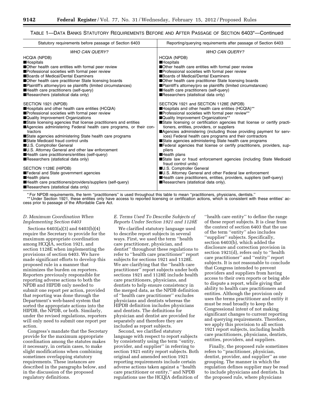# TABLE 1—DATA BANKS STATUTORY REQUIREMENTS BEFORE AND AFTER PASSAGE OF SECTION 6403\*—Continued

| Reporting/querying requirements after passage of Section 6403                                                                                                                                                                                                                                                                                                                                                                                                                                                                                                                                                                                                                                                                              |
|--------------------------------------------------------------------------------------------------------------------------------------------------------------------------------------------------------------------------------------------------------------------------------------------------------------------------------------------------------------------------------------------------------------------------------------------------------------------------------------------------------------------------------------------------------------------------------------------------------------------------------------------------------------------------------------------------------------------------------------------|
| <b>WHO CAN QUERY?</b><br><b>HCQIA (NPDB)</b>                                                                                                                                                                                                                                                                                                                                                                                                                                                                                                                                                                                                                                                                                               |
| <b>H</b> ospitals<br>Other health care entities with formal peer review<br>Professional societies with formal peer review<br>Boards of Medical/Dental Examiners<br>Other health care practitioner State licensing boards<br>■Plaintiff's attorney/pro se plaintiffs (limited circumstances)<br>Health care practitioners (self-query)<br>Researchers (statistical data only)                                                                                                                                                                                                                                                                                                                                                               |
| SECTION 1921 and SECTION 1128E (NPDB)<br>Hospitals and other health care entities (HCQIA)**<br>■Professional societies with formal peer review**<br>■Quality Improvement Organizations**<br>State licensing or certification agencies that license or certify practi-<br>tioners, entities, providers, or suppliers<br>Agencies administering (including those providing payment for serv-<br>ices) Federal health care programs and their contractors<br>State agencies administering State health care programs<br><b>Example Federal agencies that license or certify practitioners, providers, sup-</b><br>pliers<br><b>Health plans</b><br>■State law or fraud enforcement agencies (including State Medicaid<br>fraud control units) |
| U.S. Comptroller General<br>U.S. Attorney General and other Federal law enforcement<br><b>Example 3</b> Health care practitioners, entities, providers, suppliers (self-query)<br>Researchers (statistical data only).                                                                                                                                                                                                                                                                                                                                                                                                                                                                                                                     |
|                                                                                                                                                                                                                                                                                                                                                                                                                                                                                                                                                                                                                                                                                                                                            |

For NPDB requirements, the term "practitioners" is used throughout this table to mean "practitioners, physicians, dentists." \*\* Under Section 1921, these entities only have access to reported licensing or certification actions, which is consistent with these entities' access prior to passage of the Affordable Care Act.

# *D. Maximum Coordination When Implementing Section 6403*

Sections 6403(a)(3) and 6403(b)(4) require the Secretary to provide for the maximum appropriate coordination among HCQIA, section 1921, and section 1128E when implementing the provisions of section 6403. We have made significant efforts to develop this proposed rule in a manner that minimizes the burden on reporters. Reporters previously responsible for reporting adverse actions to both the NPDB and HIPDB only needed to submit one report per action, provided that reporting was done through the Department's web-based system that sorted the appropriate actions into the HIPDB, the NPDB, or both. Similarly, under the revised regulations, reporters will only need to submit one report per action.

Congress's mandate that the Secretary provide for the maximum appropriate coordination among the statutes makes it necessary, in certain cases, to make slight modifications when combining sometimes overlapping statutory requirements. These instances are described in the paragraphs below, and in the discussion of the proposed regulatory definitions.

# *E. Terms Used To Describe Subjects of Reports Under Section 1921 and 1128E*

We clarified statutory language used to describe report subjects in several ways. First, we used the term ''health care practitioner, physician, and dentist'' throughout these regulations to refer to ''health care practitioner'' report subjects for sections 1921 and 1128E. We are clarifying that the ''health care practitioner'' report subjects under both sections 1921 and 1128E include health care practitioners, physicians, and dentists to help ensure consistency in the merged data, as the NPDB definition of ''health care practitioner'' excludes physicians and dentists whereas the HIPDB definition includes physicians and dentists. The definitions for physician and dentist are provided for separately and therefore they are included as report subjects.

Second, we clarified statutory language with respect to report subjects by consistently using the term ''entity, provider, and supplier'' in referring to section 1921 entity report subjects. Both original and amended section 1921 reporting requirements include certain adverse actions taken against a ''health care practitioner or entity,'' and NPDB regulations use the HCQIA definition of

''health care entity'' to define the range of these report subjects. It is clear from the context of section 6403 that the use of the term ''entity'' also includes ''supplier'' subjects. Specifically, section 6403(b), which added the disclosure and correction provision in section 1921(d), refers only to ''health care practitioner'' and ''entity'' report subjects. It is not reasonable to conclude that Congress intended to prevent providers and suppliers from having access to their own reports or being able to dispute a report, while giving that ability to health care practitioners and entities. Although the provision only uses the terms practitioner and entity it must be read broadly to keep the Congressional intent of not making significant changes to current reporting and querying requirements. Therefore, we apply this provision to all section 1921 report subjects, including health care practitioners, physicians, dentists, entities, providers, and suppliers.

Finally, the proposed rule sometimes refers to ''practitioner, physician, dentist, provider, and supplier'' as one grouping. The manner in which the regulation defines supplier may be read to include physicians and dentists. In the proposed rule, where physicians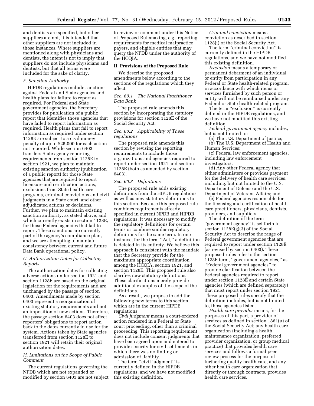and dentists are specified, but other suppliers are not, it is intended that other suppliers are not included in those instances. Where suppliers are mentioned along with physicians and dentists, the intent is not to imply that suppliers do not include physicians and dentists, but that all terms were included for the sake of clarity.

# *F. Sanction Authority*

HIPDB regulations include sanctions against Federal and State agencies and health plans for failure to report as required. For Federal and State government agencies, the Secretary provides for publication of a public report that identifies those agencies that have failed to report information as required. Health plans that fail to report information as required under section 1128E are subject to a civil money penalty of up to \$25,000 for each action not reported. While section 6403 transfers State agency reporting requirements from section 1128E to section 1921, we plan to maintain existing sanction authority (publication of a public report) for those State agencies that are required to report licensure and certification actions, exclusions from State health care programs, criminal convictions and civil judgments in a State court, and other adjudicated actions or decisions. Further, we plan to maintain existing sanction authority, as stated above, and which currently exists in section 1128E, for those Federal agencies that fail to report. These sanctions are currently part of the agency's compliance plan, and we are attempting to maintain consistency between current and future Data Bank operational policy.

# *G. Authorization Dates for Collecting Reports*

The authorization dates for collecting adverse actions under section 1921 and section 1128E are based on the original legislation for the requirements and are unchanged by the passage of section 6403. Amendments made by section 6403 represent a reorganization of existing statutory requirements and not an imposition of new actions. Therefore, the passage section 6403 does not affect reporters' obligations to report action back to the dates currently in use for the system. Actions taken by State agencies transferred from section 1128E to section 1921 will retain their original authorization dates.

# *H. Limitations on the Scope of Public Comment*

The current regulations governing the NPDB which are not expanded or modified by section 6403 are not subject to review or comment under this Notice of Proposed Rulemaking, e.g., reporting requirements for medical malpractice payers, and eligible entities that may query the NPDB under the authority of the HCQIA.

#### **II. Provisions of the Proposed Rule**

We describe the proposed amendments below according to the sections of the regulations which they affect.

# *Sec. 60.1 The National Practitioner Data Bank*

The proposed rule amends this section by incorporating the statutory provisions for section 1128E of the Social Security Act.

# *Sec. 60.2 Applicability of These regulations*

The proposed rule amends this section by revising the reporting requirements to include those organizations and agencies required to report under section 1921 and section 1128E (both as amended by section 6403).

#### *Sec. 60.3 Definitions*

The proposed rule adds existing definitions from the HIPDB regulations as well as new statutory definitions to this section. Because this proposed rule combines requirements already specified in current NPDB and HIPDB regulations, it was necessary to modify the regulatory definitions for certain terms or combine similar regulatory definitions for the same term. In one instance, for the term ''Act,'' a definition is deleted in its entirety. We believe this approach is consistent with the mandate that the Secretary provide for the maximum appropriate coordination among the HCQIA, section 1921, and section 1128E. This proposed rule also clarifies new statutory definitions. These clarifications merely provide additional examples of the scope of the definitions.

As a result, we propose to add the following new terms to this section, which are in the current HIPDB regulations:

*Civil judgment* means a court-ordered action rendered in a Federal or State court proceeding, other than a criminal proceeding. This reporting requirement does not include consent judgments that have been agreed upon and entered to provide security for civil settlements in which there was no finding or admission of liability.

The term "civil judgment" is currently defined in the HIPDB regulations, and we have not modified this existing definition.

*Criminal conviction* means a conviction as described in section 1128(i) of the Social Security Act.

The term "criminal conviction" is currently defined in the HIPDB regulations, and we have not modified this existing definition.

*Exclusion* means a temporary or permanent debarment of an individual or entity from participation in any Federal or State health-related program, in accordance with which items or services furnished by such person or entity will not be reimbursed under any Federal or State health-related program.

The term ''exclusion'' is currently defined in the HIPDB regulations, and we have not modified this existing definition.

*Federal government agency* includes, but is not limited to:

(a) The U.S. Department of Justice; (b) The U.S. Department of Health and Human Services;

(c) Federal law enforcement agencies, including law enforcement investigators;

(d) Any other Federal agency that either administers or provides payment for the delivery of health care services, including, but not limited to the U.S. Department of Defense and the U.S. Department of Veterans Affairs; and

(e) Federal agencies responsible for the licensing and certification of health care practitioners, physicians, dentists, providers, and suppliers.

The definition of the term ''government agency'' is set forth in section 1128E(g)(3) of the Social Security Act to describe the range of Federal government agencies that are required to report under section 1128E (as revised by section 6403). These proposed rules refer to the section 1128E term, ''government agencies,'' as ''Federal government agencies'' to provide clarification between the Federal agencies required to report under section 1128E and certain State agencies (which are defined separately) that must report under section 1921. These proposed rules specify that the definition includes, but is not limited to, those agencies listed.

*Health care provider* means, for the purposes of this part, a provider of services as defined in section 1861(u) of the Social Security Act; any health care organization (including a health maintenance organization, preferred provider organization, or group medical practice) that provides health care services and follows a formal peer review process for the purpose of furthering quality health care, and any other health care organization that, directly or through contracts, provides health care services.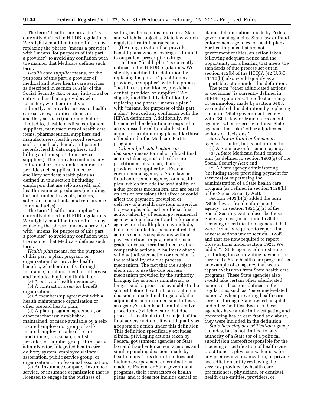The term ''health care provider'' is currently defined in HIPDB regulations. We slightly modified this definition by replacing the phrase ''means a provider'' with ''means, for purposes of this part, a provider'' to avoid any confusion with the manner that Medicare defines such term.

*Health care supplier* means, for the purposes of this part, a provider of medical and other health care services as described in section 1861(s) of the Social Security Act; or any individual or entity, other than a provider, who furnishes, whether directly or indirectly, or provides access to, health care services, supplies, items, or ancillary services (including, but not limited to, durable medical equipment suppliers, manufacturers of health care items, pharmaceutical suppliers and manufacturers, health record services such as medical, dental, and patient records, health data suppliers, and billing and transportation service suppliers). The term also includes any individual or entity under contract to provide such supplies, items, or ancillary services; health plans as defined in this section (including employers that are self-insured); and health insurance producers (including, but not limited to agents, brokers, solicitors, consultants, and reinsurance intermediaries).

The term ''health care supplier'' is currently defined in HIPDB regulations. We slightly modified this definition by replacing the phrase ''means a provider'' with "means, for purposes of this part, a provider'' to avoid any confusion with the manner that Medicare defines such term.

*Health plan* means, for the purposes of this part, a plan, program, or organization that provides health benefits, whether directly, through insurance, reimbursement, or otherwise, and includes but is not limited to:

(a) A policy of health insurance;

(b) A contract of a service benefit organization;

(c) A membership agreement with a health maintenance organization or other prepaid health plan;

(d) A plan, program, agreement, or other mechanism established, maintained, or made available by a selfinsured employer or group of selfinsured employers, a health care practitioner, physician, dentist, provider, or supplier group, third-party administrator, integrated health care delivery system, employee welfare association, public service group, or organization or professional association;

(e) An insurance company, insurance service, or insurance organization that is licensed to engage in the business of

selling health care insurance in a State and which is subject to State law which regulates health insurance; and

(f) An organization that provides benefit plans whose coverage is limited to outpatient prescription drugs.

The term "health plan" is currently defined in the HIPDB regulations. We slightly modified this definition by replacing the phrase ''practitioner, provider, or supplier'' with the phrase ''health care practitioner, physician, dentist, provider, or supplier.'' We slightly modified this definition by replacing the phrase ''means a plan'' with "means, for purposes of this part, a plan'' to avoid any confusion with the HIPAA definition. Additionally, we broadened the definition to respond to an expressed need to include standalone prescription drug plans, like those offered under the Medicare Part D program.

*Other adjudicated actions or decisions* means formal or official final actions taken against a health care practitioner, physician, dentist, provider, or supplier by a Federal governmental agency, a State law or fraud enforcement agency, or a health plan; which include the availability of a due process mechanism, and are based on acts or omissions that affect or could affect the payment, provision or delivery of a health care item or service. For example, a formal or official final action taken by a Federal governmental agency, a State law or fraud enforcement agency, or a health plan may include, but is not limited to, personnel-related actions such as suspensions without pay, reductions in pay, reductions in grade for cause, terminations, or other comparable actions. A hallmark of any valid adjudicated action or decision is the availability of a due process mechanism. The fact that the subject elects not to use the due process mechanism provided by the authority bringing the action is immaterial, as long as such a process is available to the subject before the adjudicated action or decision is made final. In general, if an adjudicated action or decision follows an agency's established administrative procedures (which ensure that due process is available to the subject of the final adverse action), it would qualify as a reportable action under this definition. This definition specifically excludes clinical privileging actions taken by Federal government agencies or State law and fraud enforcement agencies and similar paneling decisions made by health plans. This definition does not include overpayment determinations made by Federal or State government programs, their contractors or health plans; and it does not include denial of

claims determinations made by Federal government agencies, State law or fraud enforcement agencies, or health plans. For health plans that are not government entities, an action taken following adequate notice and the opportunity for a hearing that meets the standards of due process set out in section 412(b) of the HCQIA (42 U.S.C. 11112(b)) also would qualify as a reportable action under this definition.

The term ''other adjudicated actions or decisions'' is currently defined in HIPDB regulations. To reflect a change in terminology made by section 6403, we modified this definition by replacing the term, ''State government agency'' with ''State law or fraud enforcement agency'' when referring to those State agencies that take ''other adjudicated actions or decisions.''

*State law or fraud enforcement agency* includes, but is not limited to:

(a) A State law enforcement agency; (b) A State Medicaid fraud control

unit (as defined in section 1903(q) of the Social Security Act); and

(c) A State agency administering (including those providing payment for services) or supervising the administration of a State health care program (as defined in section 1128(h) of the Social Security Act).

Section 6403(b)(3) added the term ''State law or fraud enforcement agency'' in section 1921(g)(2) of the Social Security Act to describe those State agencies (in addition to State licensing or certification agencies) that were formerly required to report final adverse actions under section 1128E and that are now required to report those actions under section 1921. We added ''a State agency administering (including those providing payment for services) a State health care program'' as an example of an agency that would report exclusions from State health care programs. These State agencies also would take certain other adjudicated actions or decisions defined in the regulations, such as ''personnel-related actions,'' when providing health care services through State-owned hospitals and other facilities. Because these agencies have a role in investigating and preventing health care fraud and abuse, they were included in the definition.

*State licensing or certification agency*  includes, but is not limited to, any authority of a State (or of a political subdivision thereof) responsible for the licensing or certification of health care practitioners, physicians, dentists, (or any peer review organization, or private accreditation entity reviewing the services provided by health care practitioners, physicians, or dentists), health care entities, providers, or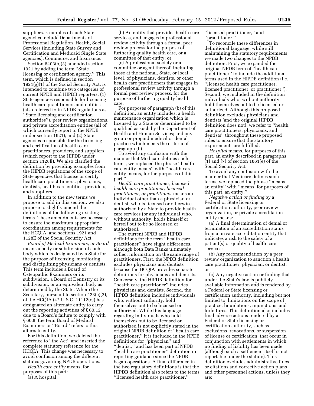suppliers. Examples of such State agencies include Departments of Professional Regulation, Health, Social Services (including State Survey and Certification and Medicaid Single State agencies), Commerce, and Insurance.

Section 6403(b)(3) amended section 1921 by adding the term ''State licensing or certification agency.'' This term, which is defined in section 1921(g)(1) of the Social Security Act, is intended to combine two categories of current NPDB and HIPDB reporters: (1) State agencies responsible for licensing health care practitioners and entities (also referred to in NPDB regulations as ''State licensing and certification authorities''), peer review organizations, and private accreditation entities (all of which currently report to the NPDB under section 1921); and (2) State agencies responsible for the licensing and certification of health care practitioners, providers, and suppliers (which report to the HIPDB under section 1128E). We also clarified the definition by providing examples from the HIPDB regulations of the scope of State agencies that license or certify health care practitioners, physicians, dentists, health care entities, providers, and suppliers.

In addition to the new terms we propose to add in this section, we also propose to slightly amend the definitions of the following existing terms. These amendments are necessary to ensure the maximum appropriate coordination among requirements for the HCQIA, and sections 1921 and 1128E of the Social Security Act.

*Board of Medical Examiners, or Board*  means a body or subdivision of such body which is designated by a State for the purpose of licensing, monitoring, and disciplining physicians or dentists. This term includes a Board of Osteopathic Examiners or its subdivision, a Board of Dentistry or its subdivision, or an equivalent body as determined by the State. Where the Secretary, pursuant to section 423(c)(2), of the HCQIA (42 U.S.C. 11112(c)) has designated an alternate entity to carry out the reporting activities of § 60.12 due to a Board's failure to comply with § 60.8, the term Board of Medical Examiners or ''Board'' refers to this alternate entity.

For this definition, we deleted the reference to ''the Act'' and inserted the complete statutory reference for the HCQIA. This change was necessary to avoid confusion among the different statutes governing NPDB operations.

*Health care entity* means, for purposes of this part:

(a) A hospital;

(b) An entity that provides health care services, and engages in professional review activity through a formal peer review process for the purpose of furthering quality health care, or a committee of that entity; or

(c) A professional society or a committee or agent thereof, including those at the national, State, or local level, of physicians, dentists, or other health care practitioners that engages in professional review activity through a formal peer review process, for the purpose of furthering quality health care.

For purposes of paragraph (b) of this definition, an entity includes: a health maintenance organization which is licensed by a State or determined to be qualified as such by the Department of Health and Human Services; and any group or prepaid medical or dental practice which meets the criteria of paragraph (b).

To avoid any confusion with the manner that Medicare defines such terms, we replaced the phrase ''health care entity means'' with ''health care entity means, for the purposes of this part.'

*Health care practitioner, licensed health care practitioner, licensed practitioner, or practitioner* means an individual other than a physician or dentist, who is licensed or otherwise authorized by a State to provide health care services (or any individual who, without authority, holds himself or herself out to be so licensed or authorized).

The current NPDB and HIPDB definitions for the term ''health care practitioner'' have slight differences, although both Data Banks ultimately collect information on the same range of practitioners. First, the NPDB definition excludes physicians and dentists because the HCQIA provides separate definitions for physicians and dentists. Conversely, the HIPDB definition for ''health care practitioner'' includes physicians and dentists. Second, the HIPDB definition includes individuals who, without authority, hold themselves out to be licensed or authorized. While this language regarding individuals who hold themselves out to be licensed or authorized is not explicitly stated in the original NPDB definition of ''health care practitioner,'' it is included in the NPDB definitions for ''physician'' and ''dentist,'' and has been part of NPDB ''health care practitioner'' definition in reporting guidance since the NPDB began operations. A final difference in the two regulatory definitions is that the HIPDB definition also refers to the terms ''licensed health care practitioner,''

''licensed practitioner,'' and ''practitioner.''

To reconcile these differences in definitional language, while still maintaining the statutory requirements, we made two changes to the NPDB definition. First, we expanded the original NPDB term of ''health care practitioner'' to include the additional terms used in the HIPDB definition (i.e., ''licensed health care practitioner, licensed practitioner, or practitioner''). Second, we included in the definition individuals who, without authority, hold themselves out to be licensed or authorized. Although this proposed definition excludes physicians and dentists (and the original HIPDB definition does not), we refer to ''health care practitioners, physicians, and dentists'' throughout these proposed rules to ensure that the statutory requirements are fulfilled.

*Hospital* means, for purposes of this part, an entity described in paragraphs (1) and (7) of section 1861(e) of the Social Security Act.

To avoid any confusion with the manner that Medicare defines such terms, we replaced the phrase ''means an entity'' with ''means, for purposes of this part, an entity.''

*Negative action or finding* by a Federal or State licensing or certification authority, peer review organization, or private accreditation entity means:

(a) A final determination of denial or termination of an accreditation status from a private accreditation entity that indicates a risk to the safety of a patient(s) or quality of health care services;

(b) Any recommendation by a peer review organization to sanction a health care practitioner, physician, or dentist; or

(c) Any negative action or finding that under the State's law is publicly available information and is rendered by a Federal or State licensing or certification authority, including but not limited to, limitations on the scope of practice, liquidations, injunctions, and forfeitures. This definition also includes final adverse actions rendered by a Federal or State licensing or certification authority, such as exclusions, revocations, or suspension of license or certification, that occur in conjunction with settlements in which no finding of liability has been made (although such a settlement itself is not reportable under the statute). This definition excludes administrative fines or citations and corrective action plans and other personnel actions, unless they are: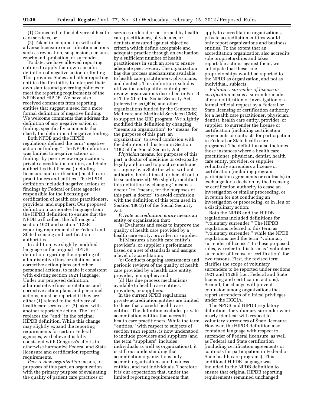care services, or

(2) Taken in conjunction with other adverse licensure or certification actions such as revocation, suspension, censure, reprimand, probation, or surrender.

To date, we have allowed reporting entities to apply their own specific definition of negative action or finding. This provides States and other reporting entities the flexibility to interpret their own statutes and governing policies to meet the reporting requirements of the NPDB and HIPDB. We have also received comments from reporting entities that suggest a need for a more formal definition of negative finding. We welcome comments that address the definition of any negative action or finding, specifically comments that clarify the definition of negative finding.

Both NPDB and the HIPDB regulations defined the term ''negative action or finding.'' The NPDB definition was limited to negative actions or findings by peer review organizations, private accreditation entities, and State authorities that license (including licensure and certification) health care practitioners and entities. The HIPDB definition included negative actions or findings by Federal or State agencies responsible for the licensing or certification of health care practitioners, providers, and suppliers. Our proposed definition incorporates language from the HIPDB definition to ensure that the NPDB will collect the full range of section 1921 and section 1128E reporting requirements for Federal and State licensing and certification authorities.

In addition, we slightly modified language in the original HIPDB definition regarding the reporting of administrative fines or citations, and corrective action plans and other personnel actions, to make it consistent with existing section 1921 language. Under our proposed definition, administrative fines or citations, and corrective action plans and personnel actions, must be reported if they are either (1) related to the delivery of health care services or (2) taken with another reportable action. The ''or'' replaces the ''and'' in the original HIPDB definition. While this change may slightly expand the reporting requirements for certain Federal agencies, we believe it is fully consistent with Congress's efforts to otherwise harmonize Federal and State licensure and certification reporting requirements.

*Peer review organization* means, for purposes of this part, an organization with the primary purpose of evaluating the quality of patient care practices or

(1) Connected to the delivery of health services ordered or performed by health care practitioners, physicians, or dentists measured against objective criteria which define acceptable and adequate practice through an evaluation by a sufficient number of health practitioners in such an area to ensure adequate peer review. The organization has due process mechanisms available to health care practitioners, physicians, and dentists. This definition excludes utilization and quality control peer review organizations described in Part B of Title XI of the Social Security Act (referred to as QIOs) and other organizations funded by the Centers for Medicare and Medicaid Services (CMS) to support the QIO program. We slightly modified this definition by changing ''means an organization'' to ''means, for the purposes of this part, an organization'' to avoid confusion with the definition of this term in Section 1152 of the Social Security Act.

*Physician* means, for purposes of this part, a doctor of medicine or osteopathy legally authorized to practice medicine or surgery by a State (or who, without authority, holds himself or herself out to be so authorized). We slightly modified this definition by changing ''means a doctor'' to ''means, for the purposes of this part, a doctor'' to avoid confusion with the definition of this term used in Section 1861(r) of the Social Security Act.

*Private accreditation entity* means an entity or organization that:

(a) Evaluates and seeks to improve the quality of health care provided by a health care entity, provider, or supplier;

(b) Measures a health care entity's, provider's, or supplier's performance based on a set of standards and assigns a level of accreditation;

(c) Conducts ongoing assessments and periodic reviews of the quality of health care provided by a health care entity, provider, or supplier; and

(d) Has due process mechanisms available to health care entities, providers, or suppliers.

In the current NPDB regulations, private accreditation entities are limited to those that accredit health care entities. The definition excludes private accreditation entities that accredit health care practitioners. While the term ''entities,'' with respect to subjects of section 1921 reports, is now understood to include providers and suppliers (and the term ''suppliers'' includes individuals as well as organizations), it is still our understanding that accreditation organizations only accredit organizations and business entities, and not individuals. Therefore it is our expectation that, under the limited reporting requirements that

apply to accreditation organizations, private accreditation entities would only report organizations and business entities. To the extent that an accreditation organization also accredits sole proprietorships and takes reportable actions against them, we anticipate that these sole proprietorships would be reported to the NPDB as organization, and not as individual, subjects.

*Voluntary surrender of license or certification* means a surrender made after a notification of investigation or a formal official request by a Federal or State licensing or certification authority for a health care practitioner, physician, dentist, health care entity, provider, or supplier, to surrender the license or certification (including certification agreements or contracts for participation in Federal or State health care programs). The definition also includes those instances where a health care practitioner, physician, dentist, health care entity, provider, or supplier voluntarily surrenders a license or certification (including program participation agreements or contracts) in exchange for a decision by the licensing or certification authority to cease an investigation or similar proceeding, or in return for not conducting an investigation or proceeding, or in lieu of a disciplinary action.

Both the NPDB and the HIPDB regulations included definitions for ''voluntary surrender.'' The HIPDB regulations referred to this term as ''voluntary surrender,'' while the NPDB regulations used the term ''voluntary surrender of license.'' In these proposed rules, we refer to this term as ''voluntary surrender of license or certification'' for two reasons. First, the revised term clarifies the scope of voluntary surrenders to be reported under sections 1921 and 1128E (i.e., Federal and State licensing and certification actions). Second, the change will prevent confusion among organizations that report surrenders of clinical privileges under the HCQIA.

The NPDB and HIPDB regulatory definitions for voluntary surrender were nearly identical with respect to voluntary surrenders of State licensure. However, the HIPDB definition also contained language with respect to surrender of Federal licensure, as well as Federal and State certification (including certification agreements or contracts for participation in Federal or State health care programs). This additional HIPDB language was included in the NPDB definition to ensure that original HIPDB reporting requirements remained unchanged.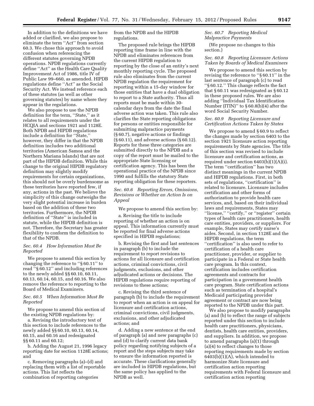In addition to the definitions we have added or clarified, we also propose to eliminate the term ''Act'' from section 60.3. We chose this approach to avoid confusion when referencing the different statutes governing NPDB operations. NPDB regulations currently define ''Act'' as the Health Care Quality Improvement Act of 1986, title IV of Public Law 99–660, as amended. HIPDB regulations define ''Act'' as the Social Security Act. We instead reference each of these statutes (as well as other governing statutes) by name where they appear in the regulations.

We also propose to use the NPDB definition for the term, ''State,'' as it relates to all requirements under the HCQIA and sections 1921 and 1128E. Both NPDB and HIPDB regulations include a definition for ''State,'' however, they differ in that the NPDB definition includes two additional territories (American Samoa and the Northern Mariana Islands) that are not part of the HIPDB definition. While this change to the original HIPDB regulatory definition may slightly modify requirements for certain organizations, this should not be overly burdensome as these territories have reported few, if any, actions in the past. We believe the simplicity of this change outweighs the very slight potential increase in burden based on the addition of these two territories. Furthermore, the NPDB definition of ''State'' is included in statute, while the HIPDB definition is not. Therefore, the Secretary has greater flexibility to conform the definition to that of the NPDB.

# *Sec. 60.4 How Information Must Be Reported*

We propose to amend this section by changing the reference to ''§ 60.11'' to read ''§ 60.12'' and including references to the newly added §§ 60.10, 60.11, 60.13, 60.14, 60.15, and 60.16. We also remove the reference to reporting to the Board of Medical Examiners.

# *Sec. 60.5 When Information Must Be Reported*

We propose to amend this section of the existing NPDB regulations by:

a. Revising the introductory text of this section to include references to the newly added §§ 60.10, 60.13, 60.14, 60.15, and 60.16 and redesignated §§ 60.11 and 60.12;

b. Adding the August 21, 1996 legacy reporting date for section 1128E actions; and

c. Removing paragraphs (a)–(d) and replacing them with a list of reportable actions. This list reflects the combination of reporting categories

from the NPDB and the HIPDB regulations.

The proposed rule brings the HIPDB reporting time frame in line with the NPDB and eliminates references from the current HIPDB regulation to reporting by the close of an entity's next monthly reporting cycle. The proposed rule also eliminates from the current NPDB regulation the requirement for reporting within a 15-day window for those entities that have a dual obligation to report to a State authority. Thus all reports must be made within 30 calendar days from the date the final adverse action was taken. This rule also clarifies the State reporting obligations for persons or entities responsible for submitting malpractice payments (§ 60.7), negative actions or findings (§ 60.11), and adverse actions (§ 60.12). Reports for these three categories are submitted directly to the NPDB and a copy of the report must be mailed to the appropriate State licensing or certification agency. This has been the operational practice of the NPDB since 1990 and fulfills the statutory State reporting obligation for these reporters.

# *Sec. 60.6 Reporting Errors, Omissions, Revisions or Whether an Action Is on Appeal*

We propose to amend this section by:

a. Revising the title to include reporting of whether an action is on appeal. This information currently must be reported for final adverse actions specified in HIPDB regulations;

b. Revising the first and last sentences in paragraph (b) to include the requirement to report revisions to actions for all licensure and certification actions, criminal convictions, civil judgments, exclusions, and other adjudicated actions or decisions. The HIPDB regulations require reporting of revisions to these actions;

c. Revising the third sentence of paragraph (b) to include the requirement to report when an action is on appeal for licensure and certification actions, criminal convictions, civil judgments, exclusions, and other adjudicated actions; and

d. Adding a new sentence at the end of paragraph (a) and new paragraphs (c) and (d) to clarify current data bank policy regarding notifying subjects of a report and the steps subjects may take to ensure the information reported is accurate. These clarifications generally are included in HIPDB regulations, but the same policy has applied to the NPDB as well.

# *Sec. 60.7 Reporting Medical Malpractice Payments*

(We propose no changes to this section.)

# *Sec. 60.8 Reporting Licensure Actions Taken by Boards of Medical Examiners*

We propose to amend this section by revising the reference to ''§ 60.11'' in the last sentence of paragraph (c) to read ''§ 60.12.'' This change reflects the fact that § 60.11 was redesignated as § 60.12 in these proposed rules. We are also adding ''Individual Tax Identification Number (ITIN)'' to § 60.8(b)(4) after the word Social Security Number.

# *Sec. 60.9 Reporting Licensure and Certification Actions Taken by States*

We propose to amend § 60.9 to reflect the changes made by section 6403 to the section 1921 licensure action reporting requirements by State agencies. The title of this section was revised to include licensure and certification actions, as required under section 6403(b)(1)(A)(i). The term "certification" has two distinct meanings in the current NPDB and HIPDB regulations. First, in both sets of regulations, "certification" is related to licensure. Licensure includes certification and other forms of authorization to provide health care services, and, based on their individual laws and requirements, States may ''license,'' ''certify,'' or ''register'' certain types of health care practitioners, health care entities, providers, or suppliers. For example, States may certify nurse's aides. Second, in section 1128E and the HIPDB regulations, the term ''certification'' is also used to refer to certification of a health care practitioner, provider, or supplier to participate in a Federal or State health care program. In this context, certification includes certification agreements and contracts for participation in a government health care program. State certification actions such as termination of a hospital's Medicaid participating provider agreement or contract are now being reported to the NPDB under this part.

We also propose to modify paragraphs (a) and (b) to reflect the range of subjects reported under this section to include health care practitioners, physicians, dentists, health care entities, providers, and suppliers. In addition, we propose to amend paragraphs (a)(1) through (a)(4) to reflect changes to those reporting requirements made by section 6403(b)(1)(A), which intended to harmonize State licensure and certification action reporting requirements with Federal licensure and certification action reporting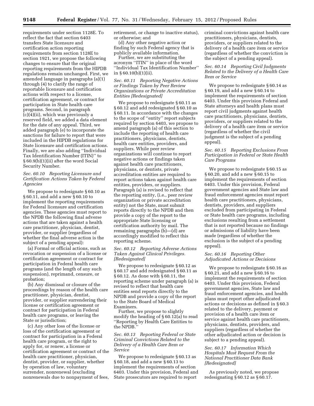requirements under section 1128E. To reflect the fact that section 6403 transfers State licensure and certification action reporting requirements from section 1128E to section 1921, we propose the following changes to ensure that the original reporting requirements from the HIPDB regulations remain unchanged. First, we amended language in paragraphs (a)(1) through (4) to clarify the range of reportable licensure and certification actions with respect to a license, certification agreement, or contract for participation in State health care programs. Second, in paragraph (c)(4)(ii), which was previously a reserved field, we added a data element for the date of any appeal. Third, we added paragraph (e) to incorporate the sanctions for failure to report that were included in the HIPDB regulations for State licensure and certification actions. Finally, we are also adding ''Individual Tax Identification Number (ITIN)'' to § 60.9(b)(1)(ii) after the word Social Security Number.

# *Sec. 60.10 Reporting Licensure and Certification Actions Taken by Federal Agencies*

We propose to redesignate § 60.10 as § 60.11, and add a new § 60.10 to implement the reporting requirements for Federal licensure and certification agencies. These agencies must report to the NPDB the following final adverse actions that are taken against a health care practitioner, physician, dentist, provider, or supplier (regardless of whether the final adverse action is the subject of a pending appeal):

(a) Formal or official actions, such as revocation or suspension of a license or certification agreement or contract for participation in Federal health care programs (and the length of any such suspension), reprimand, censure, or probation;

(b) Any dismissal or closure of the proceedings by reason of the health care practitioner, physician, dentist, provider, or supplier surrendering their license or certification agreement or contract for participation in Federal health care programs, or leaving the State or jurisdiction;

(c) Any other loss of the license or loss of the certification agreement or contract for participation in a Federal health care program, or the right to apply for, or renew, a license or certification agreement or contract of the health care practitioner, physician, dentist, provider, or supplier, whether by operation of law, voluntary surrender, nonrenewal (excluding nonrenewals due to nonpayment of fees, retirement, or change to inactive status), or otherwise; and

(d) Any other negative action or finding by such Federal agency that is publicly available information.

Further, we are substituting the acronym ''ITIN'' in place of the word ''Individual Tax Identification Number'' in § 60.10(b)(1)(ii).

# *Sec. 60.11 Reporting Negative Actions or Findings Taken by Peer Review Organizations or Private Accreditation Entities [Redesignated]*

We propose to redesignate § 60.11 as § 60.12 and add redesignated § 60.10 as § 60.11. In accordance with the changes to the scope of ''entity'' report subjects required by section 6403, we propose to amend paragraph (a) of this section to include the reporting of health care practitioners, physicians, dentists, health care entities, providers, and suppliers. While peer review organizations will continue to report negative actions or findings taken against health care practitioners, physicians, or dentists, private accreditation entities are required to report actions taken against health care entities, providers, or suppliers. Paragraph (a) is revised to reflect that the reporting entity, (i.e., peer review organization or private accreditation entity) not the State, must submit reports directly to the NPDB and then provide a copy of the report to the appropriate State licensing or certification authority by mail. The remaining paragraphs (b)—(d) are accordingly modified to reflect this reporting scheme.

# *Sec. 60.12 Reporting Adverse Actions Taken Against Clinical Privileges. [Redesignated]*

We propose to redesignate § 60.12 as § 60.17 and add redesignated § 60.11 as § 60.12. As done with § 60.11, the reporting scheme under paragraph (a) is revised to reflect that health care entities send reports directly to the NPDB and provide a copy of the report to the State Board of Medical Examiners.

Further, we propose to slightly modify the heading of § 60.12(a) to read ''Reporting by Health Care Entities to the NPDB.

# *Sec. 60.13 Reporting Federal or State Criminal Convictions Related to the Delivery of a Health Care Item or Service*

We propose to redesignate § 60.13 as § 60.18, and add a new § 60.13 to implement the requirements of section 6403. Under this provision, Federal and State prosecutors are required to report

criminal convictions against health care practitioners, physicians, dentists, providers, or suppliers related to the delivery of a health care item or service (regardless of whether the conviction is the subject of a pending appeal).

# *Sec. 60.14 Reporting Civil Judgments Related to the Delivery of a Health Care Item or Service*

We propose to redesignate § 60.14 as § 60.19, and add a new § 60.14 to implement the requirements of section 6403. Under this provision Federal and State attorneys and health plans must report civil judgments against health care practitioners, physicians, dentists, providers, or suppliers related to the delivery of a health care item or service (regardless of whether the civil judgment is the subject of a pending appeal).

# *Sec. 60.15 Reporting Exclusions From Participation in Federal or State Health Care Programs*

We propose to redesignate § 60.15 as § 60.20, and add a new § 60.15 to implement the requirements of section 6403. Under this provision, Federal government agencies and State law and fraud enforcement agencies must report health care practitioners, physicians, dentists, providers, and suppliers excluded from participating in Federal or State health care programs, including exclusions resulting from a settlement that is not reported because no findings or admissions of liability have been made (regardless of whether the exclusion is the subject of a pending appeal).

# *Sec. 60.16 Reporting Other Adjudicated Actions or Decisions*

We propose to redesignate § 60.16 as § 60.21, and add a new § 60.16 to implement the requirements of section 6403. Under this provision, Federal government agencies, State law and fraud enforcement agencies, and health plans must report other adjudicated actions or decisions as defined in § 60.3 related to the delivery, payment or provision of a health care item or service against health care practitioners, physicians, dentists, providers, and suppliers (regardless of whether the other adjudicated action or decision is subject to a pending appeal).

# *Sec. 60.17 Information Which Hospitals Must Request From the National Practitioner Data Bank [Redesignated]*

As previously noted, we propose redesignating § 60.12 as § 60.17.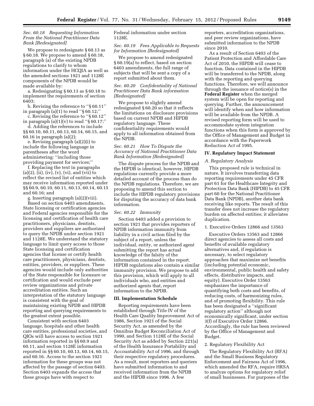# *Sec. 60.18 Requesting Information From the National Practitioner Data Bank [Redesignated]*

We propose to redesignate § 60.13 as § 60.18. We propose to amend § 60.18, paragraph (a) of the existing NPDB regulations to clarify to whom information under the HCQIA as well as the amended sections 1921 and 1128E components of the NPDB would be made available by:

a. Redesignating § 60.13 as § 60.18 to implement the requirements of section 6403;

b. Revising the reference to ''§ 60.11'' in paragraph (a)(1) to read ''§ 60.12;''

c. Revising the reference to ''§ 60.12'' in paragraph  $(a)(1)(v)$  to read "§ 60.17;"

d. Adding the references to include §§ 60.10, 60.11, 60.13, 60.14, 60.15, and 60.16 in paragraph (a)(2);

e. Revising paragraph (a)(2)(i) to include the following language in parentheses after the word administering: ''including those providing payment for services;''

f. Replacing the text in paragraphs  $(a)(2)$ ,  $(ii)$ ,  $(iv)$ ,  $(v)$ ,  $(vi)$ , and  $(vii)$  to reflect the revised list of entities which may receive information reported under §§ 60.9, 60.10, 60.11, 60.13, 60.14, 60.15 and 60.16; and

g. Inserting paragraph (a)(2)(viii).

Based on section 6403 amendments, State licensing or certification agencies and Federal agencies responsible for the licensing and certification of health care practitioners, physicians, dentists, providers and suppliers are authorized to query the NPDB under section 1921 and 1128E. We understand the statutory language to limit query access to those State licensing and certification agencies that license or certify health care practitioners, physicians, dentists, entities, providers, or suppliers. These agencies would include only authorities of the State responsible for licensure or certification and would exclude peer review organizations and private accreditation entities. Such an interpretation of the statutory language is consistent with the goal of maintaining existing NPDB and HIPDB reporting and querying requirements to the greatest extent possible.

Consistent with section 6403 language, hospitals and other health care entities, professional societies, and QIOs will have access to section 1921 information reported in §§ 60.9 and 60.11, and section 1128E information reported in §§ 60.10, 60.13, 60.14, 60.15, and 60.16. Access to the section 1921 information for these groups was not affected by the passage of section 6403. Section 6403 expands the access that these groups have with respect to

Federal information under section 1128E.

# *Sec. 60.19 Fees Applicable to Requests for Information [Redesignated]*

We propose to amend redesignated § 60.19(a) to reflect, based on section 6403 amendments, the full range of subjects that will be sent a copy of a report submitted about them.

# *Sec. 60.20 Confidentiality of National Practitioner Data Bank information [Redesignated]*

We propose to slightly amend redesignated § 60.20 so that it reflects the limitations on disclosure provisions based on current NPDB and HIPDB regulatory language. These confidentiality requirements would apply to all information obtained from the NPDB.

*Sec. 60.21 How To Dispute the Accuracy of National Practitioner Data Bank Information [Redesignated]* 

The dispute process for the NPDB and the HIPDB is identical, however, HIPDB regulations currently provide a more detailed account of the process than do the NPDB regulations. Therefore, we are proposing to amend this section to include the HIPDB regulatory provisions for disputing the accuracy of data bank information.

#### *Sec. 60.22 Immunity*

Section 6403 added a provision to section 1921 that provides reporters of NPDB information immunity from liability in a civil action filed by the subject of a report, unless the individual, entity, or authorized agent submitting the report has actual knowledge of the falsity of the information contained in the report. HIPDB regulations also contain a similar immunity provision. We propose to add this provision, which will apply to all individuals who, and entities and authorized agents that, report information to the NPDB.

#### **III. Implementation Schedule**

Reporting requirements have been established through Title IV of the Health Care Quality Improvement Act of 1986, Section 1921 of the Social Security Act, as amended by the Omnibus Budget Reconciliation Act of 1990, and Section 1128E of the Social Security Act as added by Section 221(a) of the Health Insurance Portability and Accountability Act of 1996, and through their respective regulatory procedures. As a result, most reporters and queriers have submitted information to and received information from the NPDB and the HIPDB since 1996. A few

reporters, accreditation organizations, and peer review organizations, have submitted information to the NPDB since 2010.

As a result of Section 6403 of the Patient Protection and Affordable Care Act of 2010, the HIPDB will cease to function. Data contained in the HIPDB will be transferred to the NPDB, along with the reporting and querying functions. Therefore, we will announce through the issuance of notice(s) in the **Federal Register** when the merged system will be open for reporting and querying. Further, the announcement will identify when and how information will be available from the NPDB. A revised reporting form will be used to accommodate system integration functions when this form is approved by the Office of Management and Budget in accordance with the Paperwork Reduction Act of 1995.

#### **IV. Regulatory Impact Statement**

# *A. Regulatory Analysis*

This proposed rule is technical in nature. It involves transferring data reporting requirements under 45 CFR part 61 for the Healthcare Integrity and Protection Data Bank (HIPDB) to 45 CFR part 60 for the National Practitioner Data Bank (NPDB), another data bank receiving like reports. The result of this transfer does not increase the regulatory burden on affected entities; it alleviates duplication.

# 1. Executive Orders 12866 and 13563

Executive Orders 13563 and 12866 direct agencies to assess all costs and benefits of available regulatory alternatives and, if regulation is necessary, to select regulatory approaches that maximize net benefits (including potential economic, environmental, public health and safety effects, distributive impacts, and equity). Executive Order 13563 emphasizes the importance of quantifying both costs and benefits, of reducing costs, of harmonizing rules, and of promoting flexibility. This rule has been designated a ''significant regulatory action'' although not economically significant, under section 3(f) of Executive Order 12866. Accordingly, the rule has been reviewed by the Office of Management and Budget.

#### 2. Regulatory Flexibility Act

The Regulatory Flexibility Act (RFA) and the Small Business Regulatory Enforcement and Fairness Act of 1996, which amended the RFA, require HRSA to analyze options for regulatory relief of small businesses. For purposes of the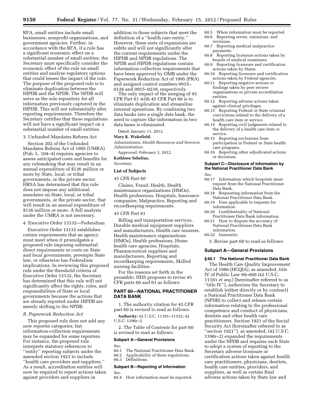RFA, small entities include small businesses, nonprofit organizations, and government agencies. Further, in accordance with the RFA, if a rule has a significant economic effect on a substantial number of small entities, the Secretary must specifically consider the economic effect of the rule on small entities and analyze regulatory options that could lessen the impact of the rule. The purpose of the proposed rule is to eliminate duplication between the HIPDB and the NPDB. The NPDB will serve as the sole repository for all information previously captured in the HIPDB. This will not substantially alter reporting requirements. Therefore the Secretary certifies that these regulations will not have a significant impact on a substantial number of small entities.

# 3. Unfunded Mandates Reform Act

Section 202 of the Unfunded Mandates Reform Act of 1995 (UMRA) (Pub. L. 104–4) requires agencies to assess anticipated costs and benefits for any rulemaking that may result in an annual expenditure of \$136 million or more by State, local, or tribal governments, or the private sector. HRSA has determined that this rule does not impose any additional mandates on State, local, or tribal governments, or the private sector, that will result in an annual expenditure of \$136 million or more. A full analysis under the UMRA is not necessary.

4. Executive Order 13132—Federalism

Executive Order 13132 establishes certain requirements that an agency must meet when it promulgates a proposed rule imposing substantial direct requirements or costs on State and local governments, preempts State law, or otherwise has Federalism implications. In reviewing this proposed rule under the threshold criteria of Executive Order 13132, the Secretary has determined that this rule will not significantly affect the rights, roles, and responsibilities of State or local governments because the actions that are already reported under HIPDB are merely shifting to the NPDB.

### *B. Paperwork Reduction Act*

This proposed rule does not add any new reporter categories, but information-collection requirements may be expanded for some reporters. For instance, the proposed rule interprets statutory references to ''entity'' reporting subjects under the amended section 1921 to include ''health care providers and suppliers.'' As a result, accreditation entities will now be required to report actions taken against providers and suppliers in

addition to those subjects that meet the definition of a ''health care entity.'' However, these sorts of expansions are subtle and will not significantly alter the current requirements under the HIPDB and NPDB regulations. The NPDB and HIPDB regulations contain information collection requirements that have been approved by OMB under the Paperwork Reduction Act of 1995 (PRA) and assigned control numbers 0915– 0126 and 0915–0239, respectively.

The only impact of the merging of 45 CFR Part 61 with 45 CFR Part 60 is to eliminate duplication and streamline internal operations. By combining two data banks into a single data bank, the need to capture like information in two data bases is eliminated.

Dated: January 11, 2012.

#### **Mary K. Wakefield,**

*Administrator, Health Resources and Services Administration.* 

Approved: February 3, 2012. **Kathleen Sebelius,** 

*Secretary.* 

# **List of Subjects**

#### *45 CFR Part 60*

Claims, Fraud, Health, Health maintenance organizations (HMOs), Health professions, Hospitals, Insurance companies, Malpractice, Reporting and recordkeeping requirements.

#### *45 CFR Part 61*

Billing and transportation services, Durable medical equipment suppliers and manufacturers, Health care insurers, Health maintenance organizations (HMOs), Health professions, Home health care agencies, Hospitals, Pharmaceutical suppliers and manufacturers, Reporting and recordkeeping requirements, Skilled nursing facilities.

For the reasons set forth in the preamble, HHS proposes to revise 45 CFR parts 60 and 61 as follows:

# **PART 60—NATIONAL PRACTITIONER DATA BANK**

1. The authority citation for 45 CFR part 60 is revised to read as follows:

**Authority:** 42 U.S.C. 11101–11152; 42 U.S.C. 1396r–2.

2. The Table of Contents for part 60 is revised to read as follows:

# **Subpart A—General Provisions**

Sec.<br>60.1

- 60.1 The National Practitioner Data Bank.<br>60.2 Applicability of these regulations.
- Applicability of these regulations.
- 60.3 Definitions.

# **Subpart B—Reporting of Information**

Sec.<br>60.4

#### How information must be reported.

- 60.5 When information must be reported. 60.6 Reporting errors, omissions, and
- revisions. 60.7 Reporting medical malpractice payments.
- 60.8 Reporting licensure actions taken by boards of medical examiners.
- 60.9 Reporting licensure and certification actions taken by States.
- 60.10 Reporting licensure and certification actions taken by Federal agencies.
- 60.11 Reporting negative actions or findings taken by peer review organizations or private accreditation entities.
- 60.12 Reporting adverse actions taken against clinical privileges.
- 60.13 Reporting Federal or State criminal convictions related to the delivery of a health care item or service.
- 60.14 Reporting civil judgments related to the delivery of a health care item or service.
- 60.15 Reporting exclusions from participation in Federal or State health care programs.
- 60.16 Reporting other adjudicated actions or decisions.

# **Subpart C—Disclosure of Information by the National Practitioner Data Bank**

Sec.

- 60.17 Information which hospitals must request from the National Practitioner Data Bank.
- 60.18 Requesting information from the National Practitioner Data Bank.
- 60.19 Fees applicable to requests for information.
- 60.20 Confidentiality of National Practitioner Data Bank information.
- 60.21 How to dispute the accuracy of National Practitioner Data Bank information.
- 60.22 Immunity.

3. Revise part 60 to read as follows:

# **Subpart A—General Provisions**

# **§ 60.1 The National Practitioner Data Bank**

The Health Care Quality Improvement Act of 1986 (HCQIA), as amended, title IV of Public Law 99–660 (42 U.S.C. 11101 *et seq.*) (hereinafter referred to as ''title IV''), authorizes the Secretary to establish (either directly or by contract) a National Practitioner Data Bank (NPDB) to collect and release certain information relating to the professional competence and conduct of physicians, dentists and other health care practitioners. Section 1921 of the Social Security Act (hereinafter referred to as ''section 1921''), as amended, (42 U.S.C. 1396r–2) expanded the requirements under the NPDB and requires each State to adopt a system of reporting to the Secretary adverse licensure or certification actions taken against health care practitioners, physicians, dentists, health care entities, providers, and suppliers, as well as certain final adverse actions taken by State law and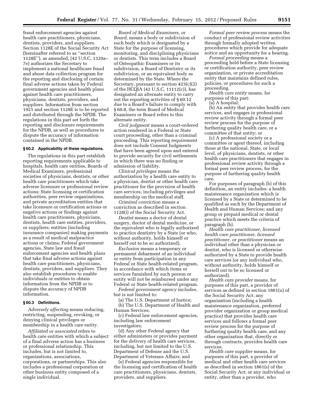fraud enforcement agencies against health care practitioners, physicians, dentists, providers, and suppliers. Section 1128E of the Social Security Act (hereinafter referred to as ''section 1128E''), as amended, (42 U.S.C. 1320a– 7e) authorizes the Secretary to implement a national healthcare fraud and abuse data collection program for the reporting and disclosing of certain final adverse actions taken by Federal government agencies and health plans against health care practitioners, physicians, dentists, providers, and suppliers. Information from section 1921 and section 1128E is to be reported and distributed through the NPDB. The regulations in this part set forth the reporting and disclosure requirements for the NPDB, as well as procedures to dispute the accuracy of information contained in the NPDB.

# **§ 60.2 Applicability of these regulations.**

The regulations in this part establish reporting requirements applicable to hospitals, health care entities, Boards of Medical Examiners, professional societies of physicians, dentists, or other health care practitioners which take adverse licensure or professional review actions; State licensing or certification authorities, peer review organizations, and private accreditation entities that take licensure or certification actions or negative actions or findings against health care practitioners, physicians, dentists, health care entities, providers, or suppliers; entities (including insurance companies) making payments as a result of medical malpractice actions or claims; Federal government agencies, State law and fraud enforcement agencies and health plans that take final adverse actions against health care practitioners, physicians, dentists, providers, and suppliers. They also establish procedures to enable individuals or entities to obtain information from the NPDB or to dispute the accuracy of NPDB information.

#### **§ 60.3 Definitions.**

*Adversely affecting* means reducing, restricting, suspending, revoking, or denying clinical privileges or membership in a health care entity.

*Affiliated or associated* refers to health care entities with which a subject of a final adverse action has a business or professional relationship. This includes, but is not limited to, organizations, associations, corporations, or partnerships. This also includes a professional corporation or other business entity composed of a single individual.

*Board of Medical Examiners, or Board,* means a body or subdivision of such body which is designated by a State for the purpose of licensing, monitoring, and disciplining physicians or dentists. This term includes a Board of Osteopathic Examiners or its subdivision, a Board of Dentistry or its subdivision, or an equivalent body as determined by the State. Where the Secretary, pursuant to section 423(c)(2) of the HCQIA (42 U.S.C. 11112(c)), has designated an alternate entity to carry out the reporting activities of § 60.12 due to a Board's failure to comply with § 60.8, the term Board of Medical Examiners or Board refers to this alternate entity.

*Civil judgment* means a court-ordered action rendered in a Federal or State court proceeding, other than a criminal proceeding. This reporting requirement does not include Consent Judgments that have been agreed upon and entered to provide security for civil settlements in which there was no finding or admission of liability.

*Clinical privileges* means the authorization by a health care entity to a physician, dentist or other health care practitioner for the provision of health care services, including privileges and membership on the medical staff.

*Criminal conviction* means a conviction as described in section 1128(i) of the Social Security Act.

*Dentist* means a doctor of dental surgery, doctor of dental medicine, or the equivalent who is legally authorized to practice dentistry by a State (or who, without authority, holds himself or herself out to be so authorized).

*Exclusion* means a temporary or permanent debarment of an individual or entity from participation in any Federal or State health-related program, in accordance with which items or services furnished by such person or entity will not be reimbursed under any Federal or State health-related program.

*Federal government agency* includes, but is not limited to:

(a) The U.S. Department of Justice; (b) The U.S. Department of Health and Human Services;

(c) Federal law enforcement agencies, including law enforcement investigators;

(d) Any other Federal agency that either administers or provides payment for the delivery of health care services, including, but not limited to the U.S. Department of Defense and the U.S. Department of Veterans Affairs; and

(e) Federal agencies responsible for the licensing and certification of health care practitioners, physicians, dentists, providers, and suppliers.

*Formal peer review process* means the conduct of professional review activities through formally adopted written procedures which provide for adequate notice and an opportunity for a hearing.

*Formal proceeding* means a proceeding held before a State licensing or certification authority, peer review organization, or private accreditation entity that maintains defined rules, policies, or procedures for such a proceeding.

*Health care entity* means, for purposes of this part:

(a) A hospital;

(b) An entity that provides health care services, and engages in professional review activity through a formal peer review process for the purpose of furthering quality health care, or a committee of that entity; or

(c) A professional society or a committee or agent thereof, including those at the national, State, or local level, of physicians, dentists, or other health care practitioners that engages in professional review activity through a formal peer review process, for the purpose of furthering quality health care.

For purposes of paragraph (b) of this definition, an entity includes: a health maintenance organization which is licensed by a State or determined to be qualified as such by the Department of Health and Human Services; and any group or prepaid medical or dental practice which meets the criteria of paragraph (b).

*Health care practitioner, licensed health care practitioner, licensed practitioner, or practitioner* means an individual other than a physician or dentist, who is licensed or otherwise authorized by a State to provide health care services (or any individual who, without authority, holds himself or herself out to be so licensed or authorized).

*Health care provider* means, for purposes of this part, a provider of services as defined in section 1861(u) of the Social Security Act; any organization (including a health maintenance organization, preferred provider organization or group medical practice) that provides health care services and follows a formal peer review process for the purpose of furthering quality health care, and any other organization that, directly or through contracts, provides health care services.

*Health care supplier* means, for purposes of this part, a provider of medical and other health care services as described in section 1861(s) of the Social Security Act; or any individual or entity, other than a provider, who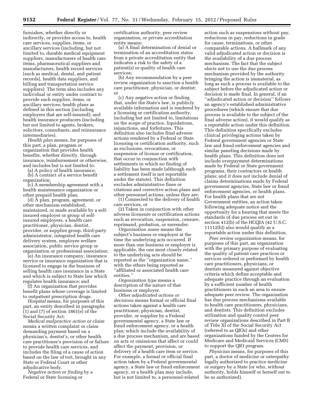furnishes, whether directly or indirectly, or provides access to, health care services, supplies, items, or ancillary services (including, but not limited to, durable medical equipment suppliers, manufacturers of health care items, pharmaceutical suppliers and manufacturers, health record services [such as medical, dental, and patient records], health data suppliers, and billing and transportation service suppliers). The term also includes any individual or entity under contract to provide such supplies, items, or ancillary services; health plans as defined in this section (including employers that are self-insured); and health insurance producers (including but not limited to agents, brokers, solicitors, consultants, and reinsurance intermediaries).

*Health plan* means, for purposes of this part, a plan, program or organization that provides health benefits, whether directly, through insurance, reimbursement or otherwise, and includes but is not limited to:

(a) A policy of health insurance; (b) A contract of a service benefit

organization; (c) A membership agreement with a health maintenance organization or other prepaid health plan;

(d) A plan, program, agreement, or other mechanism established, maintained, or made available by a selfinsured employer or group of selfinsured employers, a health care practitioner, physician, dentist, provider, or supplier group, third-party administrator, integrated health care delivery system, employee welfare association, public service group or organization or professional association;

(e) An insurance company, insurance service or insurance organization that is licensed to engage in the business of selling health care insurance in a State and which is subject to State law which regulates health insurance; and

(f) An organization that provides benefit plans whose coverage is limited to outpatient prescription drugs.

*Hospital* means, for purposes of this part, an entity described in paragraphs (1) and (7) of section 1861(e) of the Social Security Act.

*Medical malpractice action or claim*  means a written complaint or claim demanding payment based on a physician's, dentist's, or other health care practitioner's provision of or failure to provide health care services, and includes the filing of a cause of action based on the law of tort, brought in any State or Federal Court or other adjudicative body.

*Negative action or finding* by a Federal or State licensing or

certification authority, peer review organization, or private accreditation entity means:

(a) A final determination of denial or termination of an accreditation status from a private accreditation entity that indicates a risk to the safety of a patient(s) or quality of health care services;

(b) Any recommendation by a peer review organization to sanction a health care practitioner, physician, or dentist; or

(c) Any negative action or finding that, under the State's law, is publicly available information and is rendered by a licensing or certification authority, including but not limited to, limitations on the scope of practice, liquidations, injunctions, and forfeitures. This definition also includes final adverse actions rendered by a Federal or State licensing or certification authority, such as exclusions, revocations, or suspension of license or certification, that occur in conjunction with settlements in which no finding of liability has been made (although such a settlement itself is not reportable under the statute). This definition excludes administrative fines or citations and corrective action plans and other personnel actions, unless they are:

(1) Connected to the delivery of health care services, or

(2) Taken in conjunction with other adverse licensure or certification actions such as revocation, suspension, censure, reprimand, probation, or surrender.

*Organization name* means the subject's business or employer at the time the underlying acts occurred. If more than one business or employer is applicable, the one most closely related to the underlying acts should be reported as the ''organization name,'' with the others being reported as ''affiliated or associated health care entities.''

*Organization type* means a description of the nature of that business or employer.

*Other adjudicated actions or decisions* means formal or official final actions taken against a health care practitioner, physician, dentist, provider, or supplier by a Federal governmental agency, a State law or fraud enforcement agency, or a health plan; which include the availability of a due process mechanism, and are based on acts or omissions that affect or could affect the payment, provision, or delivery of a health care item or service. For example, a formal or official final action taken by a Federal governmental agency, a State law or fraud enforcement agency, or a health plan may include, but is not limited to, a personnel-related

action such as suspensions without pay, reductions in pay, reductions in grade for cause, terminations, or other comparable actions. A hallmark of any valid adjudicated action or decision is the availability of a due process mechanism. The fact that the subject elects not to use the due process mechanism provided by the authority bringing the action is immaterial, as long as such a process is available to the subject before the adjudicated action or decision is made final. In general, if an ''adjudicated action or decision'' follows an agency's established administrative procedures (which ensure that due process is available to the subject of the final adverse action), it would qualify as a reportable action under this definition. This definition specifically excludes clinical privileging actions taken by Federal government agencies or State law and fraud enforcement agencies and similar paneling decisions made by health plans. This definition does not include overpayment determinations made by Federal or State government programs, their contractors or health plans; and it does not include denial of claims determinations made by Federal government agencies, State law or fraud enforcement agencies, or health plans. For health plans that are not Government entities, an action taken following adequate notice and the opportunity for a hearing that meets the standards of due process set out in section 412(b) of the HCQIA (42 U.S.C. 11112(b)) also would qualify as a reportable action under this definition.

*Peer review organization* means, for purposes of this part, an organization with the primary purpose of evaluating the quality of patient care practices or services ordered or performed by health care practitioners, physicians, or dentists measured against objective criteria which define acceptable and adequate practice through an evaluation by a sufficient number of health practitioners in such an area to ensure adequate peer review. The organization has due process mechanisms available to health care practitioners, physicians, and dentists. This definition excludes utilization and quality control peer review organizations described in Part B of Title XI of the Social Security Act (referred to as QIOs) and other organizations funded by the Centers for Medicare and Medicaid Services (CMS) to support the QIO program.

*Physician* means, for purposes of this part, a doctor of medicine or osteopathy legally authorized to practice medicine or surgery by a State (or who, without authority, holds himself or herself out to be so authorized).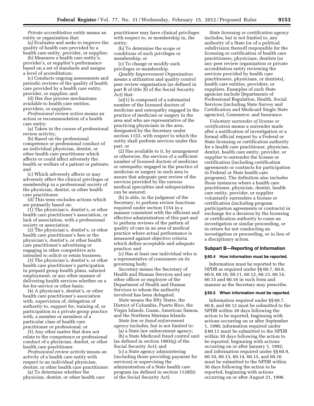*Private accreditation entity* means an entity or organization that:

(a) Evaluates and seeks to improve the quality of health care provided by a health care entity, provider, or supplier;

(b) Measures a health care entity's, provider's, or supplier's performance based on a set of standards and assigns a level of accreditation;

(c) Conducts ongoing assessments and periodic reviews of the quality of health care provided by a health care entity, provider, or supplier; and

(d) Has due process mechanisms available to health care entities, providers, or suppliers.

*Professional review action* means an action or recommendation of a health care entity:

(a) Taken in the course of professional review activity;

(b) Based on the professional competence or professional conduct of an individual physician, dentist, or other health care practitioner which affects or could affect adversely the health or welfare of a patient or patients; and

(c) Which adversely affects or may adversely affect the clinical privileges or membership in a professional society of the physician, dentist, or other health care practitioner.

(d) This term excludes actions which are primarily based on:

(1) The physician's, dentist's, or other health care practitioner's association, or lack of association, with a professional society or association;

(2) The physician's, dentist's, or other health care practitioner's fees or the physician's, dentist's, or other health care practitioner's advertising or engaging in other competitive acts intended to solicit or retain business;

(3) The physician's, dentist's, or other health care practitioner's participation in prepaid group health plans, salaried employment, or any other manner of delivering health services whether on a fee-for-service or other basis;

(4) A physician's, dentist's, or other health care practitioner's association with, supervision of, delegation of authority to, support for, training of, or participation in a private group practice with, a member or members of a particular class of health care practitioner or professional; or

(5) Any other matter that does not relate to the competence or professional conduct of a physician, dentist, or other health care practitioner.

*Professional review activity* means an activity of a health care entity with respect to an individual physician, dentist, or other health care practitioner:

(a) To determine whether the physician, dentist, or other health care

practitioner may have clinical privileges with respect to, or membership in, the entity;

(b) To determine the scope or conditions of such privileges or membership; or

(c) To change or modify such privileges or membership.

*Quality Improvement Organization*  means a utilization and quality control peer review organization (as defined in part B of title XI of the Social Security Act) that:

(a)(1) Is composed of a substantial number of the licensed doctors of medicine and osteopathy engaged in the practice of medicine or surgery in the area and who are representative of the practicing physicians in the area, designated by the Secretary under section 1153, with respect to which the entity shall perform services under this part, or

(2) Has available to it, by arrangement or otherwise, the services of a sufficient number of licensed doctors of medicine or osteopathy engaged in the practice of medicine or surgery in such area to assure that adequate peer review of the services provided by the various medical specialties and subspecialties can be assured;

(b) Is able, in the judgment of the Secretary, to perform review functions required under section 1154 in a manner consistent with the efficient and effective administration of this part and to perform reviews of the pattern of quality of care in an area of medical practice where actual performance is measured against objective criteria which define acceptable and adequate practice; and

(c) Has at least one individual who is a representative of consumers on its governing body.

*Secretary* means the Secretary of Health and Human Services and any other officer or employee of the Department of Health and Human Services to whom the authority involved has been delegated.

*State* means the fifty States, the District of Columbia, Puerto Rico, the Virgin Islands, Guam, American Samoa, and the Northern Mariana Islands.

*State law or fraud enforcement agency* includes, but is not limited to:

(a) a State law enforcement agency;

(b) a State Medicaid fraud control unit (as defined in section 1903(q) of the Social Security Act); and

(c) a State agency administering (including those providing payment for services) or supervising the administration of a State health care program (as defined in section 1128(h) of the Social Security Act).

*State licensing or certification agency*  includes, but is not limited to, any authority of a State (or of a political subdivision thereof) responsible for the licensing or certification of health care practitioners, physicians, dentists (or any peer review organization or private accreditation entity reviewing the services provided by health care practitioners, physicians, or dentists), health care entities, providers, or suppliers. Examples of such State agencies include Departments of Professional Regulation, Health, Social Services (including State Survey and Certification and Medicaid Single State agencies), Commerce, and Insurance.

*Voluntary surrender of license or certification* means a surrender made after a notification of investigation or a formal official request by a Federal or State licensing or certification authority for a health care practitioner, physician, dentist, health care entity, provider, or supplier to surrender the license or certification (including certification agreements or contracts for participation in Federal or State health care programs). The definition also includes those instances where a health care practitioner, physician, dentist, health care entity, provider, or supplier voluntarily surrenders a license or certification (including program participation agreements or contracts) in exchange for a decision by the licensing or certification authority to cease an investigation or similar proceeding, or in return for not conducting an investigation or proceeding, or in lieu of a disciplinary action.

#### **Subpart B—Reporting of Information**

#### **§ 60.4 How information must be reported.**

Information must be reported to the NPDB as required under §§ 60.7, 60.8, 60.9, 60.10, 60.11, 60.12, 60.13, 60.14, 60.15 and 60.16 in such form and manner as the Secretary may prescribe.

#### **§ 60.5 When information must be reported.**

Information required under §§ 60.7, 60.8, and 60.12 must be submitted to the NPDB within 30 days following the action to be reported, beginning with actions occurring on or after September 1, 1990; information required under § 60.11 must be submitted to the NPDB within 30 days following the action to be reported, beginning with actions occurring on or after January 1, 1992; and information required under §§ 60.9, 60.10, 60.13, 60.14, 60.15, and 60.16 must be submitted to the NPDB within 30 days following the action to be reported, beginning with actions occurring on or after August 21, 1996.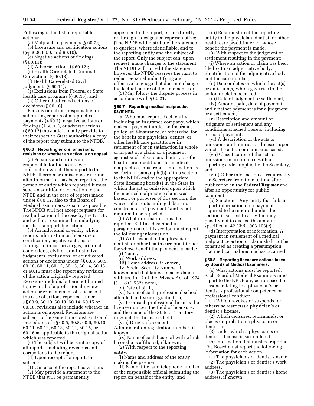Following is the list of reportable actions:

(a) Malpractice payments (§ 60.7); (b) Licensure and certification actions

(§§ 60.8, 60.9, and 60.10); (c) Negative actions or findings

 $(S60.11);$ 

(d) Adverse actions (§ 60.12);

(e) Health Care-related Criminal Convictions (§ 60.13);

(f) Health Care-related Civil Judgments (§ 60.14);

(g) Exclusions from Federal or State health care programs (§ 60.15); and

(h) Other adjudicated actions of decisions (§ 60.16).

Persons or entities responsible for submitting reports of malpractice payments (§ 60.7), negative actions or findings (§ 60.11), or adverse actions (§ 60.12) must additionally provide to their respective State authorities a copy of the report they submit to the NPDB.

# **§ 60.6 Reporting errors, omissions, revisions or whether an action is on appeal.**

(a) Persons and entities are responsible for the accuracy of information which they report to the NPDB. If errors or omissions are found after information has been reported, the person or entity which reported it must send an addition or correction to the NPDB and in the case of reports made under § 60.12, also to the Board of Medical Examiners, as soon as possible. The NPDB will not accept requests for readjudication of the case by the NPDB, and will not examine the underlying merits of a reportable action.

(b) An individual or entity which reports information on licensure or certification, negative actions or findings, clinical privileges, criminal convictions, civil or administrative judgments, exclusions, or adjudicated actions or decisions under §§ 60.8, 60.9, 60.10, 60.11, 60.12, 60.13, 60.14, 60.15, or 60.16 must also report any revision of the action originally reported. Revisions include, but are not limited to, reversal of a professional review action or reinstatement of a license. In the case of actions reported under §§ 60.9, 60.10, 60.13, 60.14, 60.15 or 60.16, revisions also include whether an action is on appeal. Revisions are subject to the same time constraints and procedures of §§ 60.5, 60.8, 60.9, 60.10, 60.11, 60.12, 60.13, 60.14, 60.15, or 60.16 as applicable to the original action which was reported.

(c) The subject will be sent a copy of all reports, including revisions and corrections to the report.

(d) Upon receipt of a report, the subject:

(1) Can accept the report as written; (2) May provide a statement to the

NPDB that will be permanently

appended to the report, either directly or through a designated representative; (The NPDB will distribute the statement to queriers, where identifiable, and to the reporting entity and the subject of the report. Only the subject can, upon request, make changes to the statement. The NPDB will not edit the statement; however the NPDB reserves the right to redact personal indentifying and offensive language that does not change the factual nature of the statement.) or

(3) May follow the dispute process in accordance with § 60.21.

# **§ 60.7 Reporting medical malpractice payments.**

(a) Who must report. Each entity, including an insurance company, which makes a payment under an insurance policy, self-insurance, or otherwise, for the benefit of a physician, dentist, or other health care practitioner in settlement of or in satisfaction in whole or in part of a claim or a judgment against such physician, dentist, or other health care practitioner for medical malpractice, must report information as set forth in paragraph (b) of this section to the NPDB and to the appropriate State licensing board(s) in the State in which the act or omission upon which the medical malpractice claim was based. For purposes of this section, the waiver of an outstanding debt is not construed as a ''payment'' and is not required to be reported.

(b) What information must be reported. Entities described in paragraph (a) of this section must report the following information:

(1) With respect to the physician, dentist, or other health care practitioner for whose benefit the payment is made:

(i) Name,

(ii) Work address,

(iii) Home address, if known, (iv) Social Security Number, if

known, and if obtained in accordance with section 7 of the Privacy Act of 1974 (5 U.S.C. 552a note),

(v) Date of birth,

(vi) Name of each professional school attended and year of graduation,

(vii) For each professional license: the license number, the field of licensure, and the name of the State or Territory in which the license is held,

(viii) Drug Enforcement

Administration registration number, if known,

(ix) Name of each hospital with which he or she is affiliated, if known;

(2) With respect to the reporting entity:

(i) Name and address of the entity making the payment,

(ii) Name, title, and telephone number of the responsible official submitting the report on behalf of the entity, and

(iii) Relationship of the reporting entity to the physician, dentist, or other health care practitioner for whose benefit the payment is made;

(3) With respect to the judgment or settlement resulting in the payment:

(i) Where an action or claim has been filed with an adjudicative body, identification of the adjudicative body and the case number,

(ii) Date or dates on which the act(s) or omission(s) which gave rise to the action or claim occurred,

(iii) Date of judgment or settlement, (iv) Amount paid, date of payment,

and whether payment is for a judgment or a settlement,

(v) Description and amount of judgment or settlement and any conditions attached thereto, including terms of payment,

(vi) A description of the acts or omissions and injuries or illnesses upon which the action or claim was based,

(vii) Classification of the acts or omissions in accordance with a reporting code adopted by the Secretary, and

(viii) Other information as required by the Secretary from time to time after publication in the **Federal Register** and after an opportunity for public comment.

(c) Sanctions. Any entity that fails to report information on a payment required to be reported under this section is subject to a civil money penalty not to exceed the amount specified at 42 CFR 1003.103(c).

(d) Interpretation of information. A payment in settlement of a medical malpractice action or claim shall not be construed as creating a presumption that medical malpractice has occurred.

#### **§ 60.8 Reporting licensure actions taken by Boards of Medical Examiners.**

(a) What actions must be reported. Each Board of Medical Examiners must report to the NPDB any action based on reasons relating to a physician's or dentist's professional competence or professional conduct:

(1) Which revokes or suspends (or otherwise restricts) a physician's or dentist's license,

(2) Which censures, reprimands, or places on probation a physician or dentist, or

(3) Under which a physician's or dentist's license is surrendered.

(b) Information that must be reported. The Board must report the following information for each action:

(1) The physician's or dentist's name, (2) The physician's or dentist's work address,

(3) The physician's or dentist's home address, if known,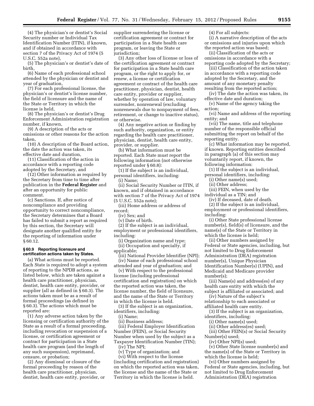(4) The physician's or dentist's Social Security number or Individual Tax Identification Number (ITIN), if known, and if obtained in accordance with section 7 of the Privacy Act of 1974 (5 U.S.C. 552a note),

(5) The physician's or dentist's date of birth,

(6) Name of each professional school attended by the physician or dentist and year of graduation,

(7) For each professional license, the physician's or dentist's license number, the field of licensure and the name of the State or Territory in which the license is held,

(8) The physician's or dentist's Drug Enforcement Administration registration number, if known,

(9) A description of the acts or omissions or other reasons for the action taken,

(10) A description of the Board action, the date the action was taken, its effective date and duration,

(11) Classification of the action in accordance with a reporting code adopted by the Secretary, and

(12) Other information as required by the Secretary from time to time after publication in the **Federal Register** and after an opportunity for public comment.

(c) Sanctions. If, after notice of noncompliance and providing opportunity to correct noncompliance, the Secretary determines that a Board has failed to submit a report as required by this section, the Secretary will designate another qualified entity for the reporting of information under § 60.12.

#### **§ 60.9 Reporting licensure and certification actions taken by States.**

(a) What actions must be reported. Each State is required to adopt a system of reporting to the NPDB actions, as listed below, which are taken against a health care practitioner, physician, dentist, health care entity, provider, or supplier (all as defined in § 60.3). The actions taken must be as a result of formal proceedings (as defined in § 60.3). The actions which must be reported are:

(1) Any adverse action taken by the licensing or certification authority of the State as a result of a formal proceeding, including revocation or suspension of a license, or certification agreement or contract for participation in a State health care program (and the length of any such suspension), reprimand, censure, or probation;

(2) Any dismissal or closure of the formal proceeding by reason of the health care practitioner, physician, dentist, health care entity, provider, or supplier surrendering the license or certification agreement or contract for participation in a State health care program, or leaving the State or jurisdiction;

(3) Any other loss of license or loss of the certification agreement or contract for participation in a State health care program, or the right to apply for, or renew, a license or certification agreement or contract of the health care practitioner, physician, dentist, health care entity, provider or supplier, whether by operation of law, voluntary surrender, nonrenewal (excluding nonrenewals due to nonpayment of fees, retirement, or change to inactive status), or otherwise.

(4) Any negative action or finding by such authority, organization, or entity regarding the health care practitioner, physician, dentist, health care entity, provider, or supplier.

(b) What information must be reported. Each State must report the following information (not otherwise reported under § 60.8):

(1) If the subject is an individual, personal identifiers, including:

(i) Name;

(ii) Social Security Number or ITIN, if known, and if obtained in accordance with section 7 of the Privacy Act of 1974 (5 U.S.C. 552a note);

(iii) Home address or address of record;

(iv) Sex; and

(v) Date of birth.

(2) If the subject is an individual, employment or professional identifiers, including:

(i) Organization name and type; (ii) Occupation and specialty, if applicable;

(iii) National Provider Identifier (NPI); (iv) Name of each professional school attended and year of graduation; and

(v) With respect to the professional license (including professional certification and registration) on which the reported action was taken, the license number, the field of licensure, and the name of the State or Territory in which the license is held.

(3) If the subject is an organization, identifiers, including:

(i) Name;

(ii) Business address;

(iii) Federal Employer Identification Number (FEIN), or Social Security Number when used by the subject as a Taxpayer Identification Number (TIN);

(iv) The NPI;

(v) Type of organization; and

(vi) With respect to the license (including certification and registration) on which the reported action was taken, the license and the name of the State or Territory in which the license is held.

(4) For all subjects:

(i) A narrative description of the acts or omissions and injuries upon which the reported action was based;

(ii) Classification of the acts or omissions in accordance with a reporting code adopted by the Secretary;

(iii) Classification of the action taken in accordance with a reporting code adopted by the Secretary, and the amount of any monetary penalty resulting from the reported action;

(iv) The date the action was taken, its effective date and duration;

(v) Name of the agency taking the action;

(vi) Name and address of the reporting entity; and

(vii) The name, title and telephone number of the responsible official submitting the report on behalf of the reporting entity.

(c) What information may be reported, if known. Reporting entities described in paragraph (a) of this section may voluntarily report, if known, the following information:

(1) If the subject is an individual, personal identifiers, including:

(i) Other name(s) used;

(ii) Other address;

(iii) FEIN, when used by the

individual as a TIN; and

(iv) If deceased, date of death. (2) If the subject is an individual,

employment or professional identifiers, including:

(i) Other State professional license number(s), field(s) of licensure, and the name(s) of the State or Territory in which the license is held;

(ii) Other numbers assigned by Federal or State agencies, including, but not limited to Drug Enforcement Administration (DEA) registration number(s), Unique Physician Identification Number(s) (UPIN), and Medicaid and Medicare provider number(s);

(iii) Name(s) and address(es) of any health care entity with which the subject is affiliated or associated; and

(iv) Nature of the subject's relationship to each associated or affiliated health care entity.

(3) If the subject is an organization, identifiers, including:

(i) Other name(s) used;

(ii) Other address(es) used;

(iii) Other FEIN(s) or Social Security Number(s) used;

(iv) Other NPI(s) used;

(v) Other State license number(s) and the name(s) of the State or Territory in which the license is held;

(vi) Other numbers assigned by Federal or State agencies, including, but not limited to Drug Enforcement Administration (DEA) registration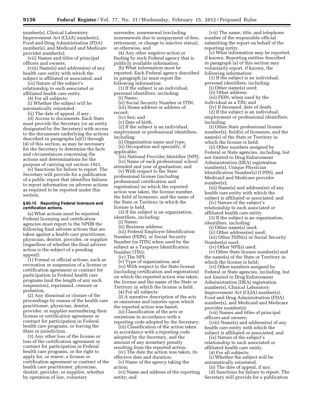number(s), Clinical Laboratory Improvement Act (CLIA) number(s), Food and Drug Administration (FDA) number(s), and Medicaid and Medicare provider number(s);

(vii) Names and titles of principal officers and owners;

(viii) Name(s) and address(es) of any health care entity with which the subject is affiliated or associated; and

(ix) Nature of the subject's relationship to each associated or

affiliated health care entity.

(4) For all subjects:

(i) Whether the subject will be automatically reinstated.

(ii) The date of appeal, if any.

(d) Access to documents. Each State must provide the Secretary (or an entity designated by the Secretary) with access to the documents underlying the actions described in paragraphs (a)(1) through (4) of this section, as may be necessary for the Secretary to determine the facts and circumstances concerning the actions and determinations for the purpose of carrying out section 1921.

(e) Sanctions for failure to report. The Secretary will provide for a publication of a public report that identifies failures to report information on adverse actions as required to be reported under this section.

#### **§ 60.10 Reporting Federal licensure and certification actions.**

(a) What actions must be reported. Federal licensing and certification agencies must report to the NPDB the following final adverse actions that are taken against a health care practitioner, physician, dentist, provider, or supplier (regardless of whether the final adverse action is the subject of a pending appeal):

(1) Formal or official actions, such as revocation or suspension of a license or certification agreement or contract for participation in Federal health care programs (and the length of any such suspension), reprimand, censure or probation,

(2) Any dismissal or closure of the proceedings by reason of the health care practitioner, physician, dentist, provider, or supplier surrendering their license or certification agreement or contract for participation in Federal health care programs, or leaving the State or jurisdiction,

(3) Any other loss of the license or loss of the certification agreement or contract for participation in Federal health care programs, or the right to apply for, or renew, a license or certification agreement or contract of the health care practitioner, physician, dentist, provider, or supplier, whether by operation of law, voluntary

surrender, nonrenewal (excluding nonrenewals due to nonpayment of fees, retirement, or change to inactive status), or otherwise, and

(4) Any other negative action or finding by such Federal agency that is publicly available information.

(b) What information must be reported. Each Federal agency described in paragraph (a) must report the following information:

(1) If the subject is an individual, personal identifiers, including:

(i) Name;

(ii) Social Security Number or ITIN; (iii) Home address or address of

record;

(iv) Sex; and

(v) Date of birth.

(2) If the subject is an individual,

employment or professional identifiers, including:

(i) Organization name and type; (ii) Occupation and specialty, if

applicable;

(iii) National Provider Identifier (NPI); (iv) Name of each professional school

attended and year of graduation; and (v) With respect to the State professional license (including professional certification and registration) on which the reported action was taken, the license number, the field of licensure, and the name of the State or Territory in which the license is held.

(3) If the subject is an organization, identifiers, including:

(i) Name;

(ii) Business address;

(iii) Federal Employer Identification Number (FEIN), or Social Security Number (or ITIN) when used by the subject as a Taxpayer Identification Number (TIN);

(iv) The NPI;

(v) Type of organization; and

(vi) With respect to the State license (including certification and registration) on which the reported action was taken, the license and the name of the State or Territory in which the license is held.

(4) For all subjects:

(i) A narrative description of the acts or omissions and injuries upon which the reported action was based;

(ii) Classification of the acts or omissions in accordance with a reporting code adopted by the Secretary;

(iii) Classification of the action taken in accordance with a reporting code adopted by the Secretary, and the amount of any monetary penalty resulting from the reported action;

(iv) The date the action was taken, its effective date and duration;

(v) Name of the agency taking the action;

(vi) Name and address of the reporting entity; and

(vii) The name, title, and telephone number of the responsible official submitting the report on behalf of the reporting entity.

(c) What information may be reported, if known. Reporting entities described in paragraph (a) of this section may voluntarily report, if known, the following information:

(1) If the subject is an individual, personal identifiers, including:

(i) Other name(s) used;

(ii) Other address;

(iii) FEIN, when used by the

individual as a TIN; and

(iv) If deceased, date of death.

(2) If the subject is an individual, employment or professional identifiers, including:

(i) Other State professional license number(s), field(s) of licensure, and the name(s) of the State or Territory in which the license is held;

(ii) Other numbers assigned by Federal or State agencies, including, but not limited to Drug Enforcement Administration (DEA) registration number(s), Unique Physician Identification Number(s) (UPIN), and Medicaid and Medicare provider number(s);

(iii) Name(s) and address(es) of any health care entity with which the subject is affiliated or associated; and

(iv) Nature of the subject's relationship to each associated or

affiliated health care entity.

(3) If the subject is an organization, identifiers, including:

(i) Other name(s) used;

(ii) Other address(es) used;

(iii) Other FEIN(s) or Social Security Number(s) used;

(iv) Other NPI(s) used;

(v) Other State license number(s) and the name(s) of the State or Territory in which the license is held;

(vi) Other numbers assigned by Federal or State agencies, including, but not limited to Drug Enforcement Administration (DEA) registration number(s), Clinical Laboratory Improvement Act (CLIA) number(s), Food and Drug Administration (FDA) number(s), and Medicaid and Medicare provider number(s);

(vii) Names and titles of principal officers and owners;

(viii) Name(s) and address(es) of any health care entity with which the subject is affiliated or associated; and

(ix) Nature of the subject's

relationship to each associated or affiliated health care entity.

(4) For all subjects:

(i) Whether the subject will be automatically reinstated.

(ii) The date of appeal, if any.

(d) Sanctions for failure to report. The Secretary will provide for a publication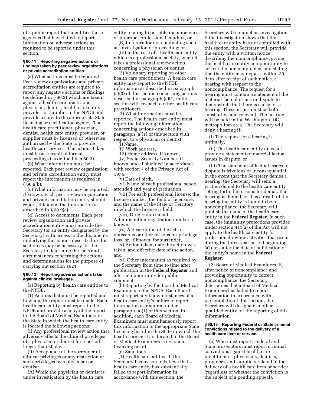of a public report that identifies those agencies that have failed to report information on adverse actions as required to be reported under this section.

#### **§ 60.11 Reporting negative actions or findings taken by peer review organizations or private accreditation entities.**

(a) What actions must be reported. Peer review organizations and private accreditation entities are required to report any negative actions or findings (as defined in § 60.3) which are taken against a health care practitioner, physician, dentist, health care entity, provider, or supplier to the NPDB and provide a copy to the appropriate State licensing or certification agency. The health care practitioner, physician, dentist, health care entity, provider, or supplier must be licensed or otherwise authorized by the State to provide health care services. The actions taken must be as a result of formal proceedings (as defined in § 60.3).

(b) What information must be reported. Each peer review organization and private accreditation entity must report the information as required in  $§ 60.9(b).$ 

(c) What information may be reported, if known: Each peer review organization and private accreditation entity should report, if known, the information as described in § 60.9(c).

(d) Access to documents. Each peer review organization and private accreditation entity must provide the Secretary (or an entity designated by the Secretary) with access to the documents underlying the actions described in this section as may be necessary for the Secretary to determine the facts and circumstances concerning the actions and determinations for the purpose of carrying out section 1921.

# **§ 60.12 Reporting adverse actions taken against clinical privileges.**

(a) Reporting by health care entities to the NPDB.

(1) Actions that must be reported and to whom the report must be made. Each health care entity must report to the NPDB and provide a copy of the report to the Board of Medical Examiners in the State in which the health care entity is located the following actions:

(i) Any professional review action that adversely affects the clinical privileges of a physician or dentist for a period longer than 30 days;

(ii) Acceptance of the surrender of clinical privileges or any restriction of such privileges by a physician or dentist:

(A) While the physician or dentist is under investigation by the health care

entity relating to possible incompetence or improper professional conduct, or

(B) In return for not conducting such an investigation or proceeding; or

(iii) In the case of a health care entity which is a professional society, when it takes a professional review action concerning a physician or dentist.

(2) Voluntary reporting on other health care practitioners. A health care entity may report to the NPDB information as described in paragraph (a)(3) of this section concerning actions described in paragraph (a)(1) in this section with respect to other health care practitioners.

(3) What information must be reported. The health care entity must report the following information concerning actions described in paragraph (a)(1) of this section with respect to a physician or dentist:

(i) Name,

(ii) Work address,

(iii) Home address, if known,

(iv) Social Security Number, if known, and if obtained in accordance with section 7 of the Privacy Act of 1974,

(v) Date of birth,

(vi) Name of each professional school attended and year of graduation,

(vii) For each professional license: the license number, the field of licensure, and the name of the State or Territory in which the license is held,

(viii) Drug Enforcement Administration registration number, if

known,

(ix) A description of the acts or omissions or other reasons for privilege loss, or, if known, for surrender,

(x) Action taken, date the action was taken, and effective date of the action, and

(xi) Other information as required by the Secretary from time to time after publication in the **Federal Register** and after an opportunity for public comment.

(b) Reporting by the Board of Medical Examiners to the NPDB. Each Board must report any known instances of a health care entity's failure to report information as required under paragraph (a)(1) of this section. In addition, each Board of Medical Examiners must simultaneously report this information to the appropriate State licensing board in the State in which the health care entity is located, if the Board of Medical Examiners is not such licensing board.

(c) Sanctions.

(1) Health care entities. If the Secretary has reason to believe that a health care entity has substantially failed to report information in accordance with this section, the

Secretary will conduct an investigation. If the investigation shows that the health care entity has not complied with this section, the Secretary will provide the entity with a written notice describing the noncompliance, giving the health care entity an opportunity to correct the noncompliance, and stating that the entity may request, within 30 days after receipt of such notice, a hearing with respect to the noncompliance. The request for a hearing must contain a statement of the material factual issues in dispute to demonstrate that there is cause for a hearing. These issues must be both substantive and relevant. The hearing will be held in the Washington, DC, metropolitan area. The Secretary will deny a hearing if:

(i) The request for a hearing is untimely,

(ii) The health care entity does not provide a statement of material factual issues in dispute, or

(iii) The statement of factual issues in dispute is frivolous or inconsequential. In the event that the Secretary denies a hearing, the Secretary will send a written denial to the health care entity setting forth the reasons for denial. If a hearing is denied, or if as a result of the hearing the entity is found to be in noncompliance, the Secretary will publish the name of the health care entity in the **Federal Register**. In such case, the immunity protections provided under section 411(a) of the Act will not apply to the health care entity for professional review activities that occur during the three-year period beginning 30 days after the date of publication of the entity's name in the **Federal Register**.

(2) Board of Medical Examiners. If, after notice of noncompliance and providing opportunity to correct noncompliance, the Secretary determines that a Board of Medical Examiners has failed to report information in accordance with paragraph (b) of this section, the Secretary will designate another qualified entity for the reporting of this information.

#### **§ 60.13 Reporting Federal or State criminal convictions related to the delivery of a health care item or service.**

(a) Who must report. Federal and State prosecutors must report criminal convictions against health care practitioners, physicians, dentists, providers, and suppliers related to the delivery of a health care item or service (regardless of whether the conviction is the subject of a pending appeal).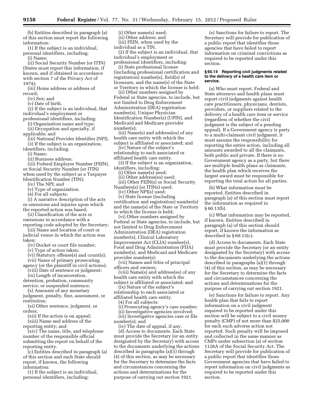(b) Entities described in paragraph (a) of this section must report the following information:

(1) If the subject is an individual, personal identifiers, including:

(i) Name;

(ii) Social Security Number (or ITIN) (States must report this information, if known, and if obtained in accordance with section 7 of the Privacy Act of 1974);

(iii) Home address or address of record;

(iv) Sex; and

(v) Date of birth.

(2) If the subject is an individual, that individual's employment or

professional identifiers, including:

- (i) Organization name and type; (ii) Occupation and specialty, if
- applicable; and

(iii) National Provider Identifier (NPI). (3) If the subject is an organization,

identifiers, including:

(i) Name;

(ii) Business address;

(iii) Federal Employer Number (FEIN), or Social Security Number (or ITIN) when used by the subject as a Taxpayer Identification Number (TIN);

(iv) The NPI; and

(v) Type of organization.

(4) For all subjects:

(i) A narrative description of the acts or omissions and injuries upon which the reported action was based;

(ii) Classification of the acts or omissions in accordance with a reporting code adopted by the Secretary;

(iii) Name and location of court or judicial venue in which the action was taken;

(iv) Docket or court file number;

(v) Type of action taken;

(vi) Statutory offense(s) and count(s);

(vii) Name of primary prosecuting agency (or the plaintiff in civil actions);

(viii) Date of sentence or judgment;

(ix) Length of incarceration,

detention, probation, community service, or suspended sentence;

(x) Amounts of any monetary judgment, penalty, fine, assessment, or restitution;

(xi) Other sentence, judgment, or orders;

(xii) If the action is on appeal;

(xiii) Name and address of the reporting entity; and

(xiv) The name, title, and telephone number of the responsible official submitting the report on behalf of the reporting entity.

(c) Entities described in paragraph (a) of this section and each State should report, if known, the following information:

(1) If the subject is an individual, personal identifiers, including:

(i) Other name(s) used;

(ii) Other address; and (iii) FEIN, when used by the

individual as a TIN.

(2) If the subject is an individual, that individual's employment or professional identifiers, including:

(i) State professional license (including professional certification and registration) number(s), field(s) of licensure, and the name(s) of the State

or Territory in which the license is held;

(ii) Other numbers assigned by Federal or State agencies, to include, but not limited to Drug Enforcement Administration (DEA) registration number(s), Unique Physician Identification Number(s) (UPIN), and Medicaid and Medicare provider number(s);

(iii) Name(s) and address(es) of any health care entity with which the subject is affiliated or associated; and

(iv) Nature of the subject's relationship to each associated or affiliated health care entity.

(3) If the subject is an organization, identifiers, including:

(i) Other name(s) used;

(ii) Other address(es) used;

(iii) Other FEIN(s) or Social Security Numbers(s) (or ITINs) used;

(iv) Other NPI(s) used;

(v) State license (including certification and registration) number(s) and the name(s) of the State or Territory in which the license is held;

(vi) Other numbers assigned by Federal or State agencies, to include, but not limited to Drug Enforcement Administration (DEA) registration number(s), Clinical Laboratory Improvement Act (CLIA) number(s), Food and Drug Administration (FDA) number(s), and Medicaid and Medicare provider number(s);

(vii) Names and titles of principal officers and owners;

(viii) Name(s) and address(es) of any health care entity with which the subject is affiliated or associated; and

(ix) Nature of the subject's

relationship to each associated or affiliated health care entity.

(4) For all subjects:

(i) Prosecuting agency's case number;

(ii) Investigative agencies involved; (iii) Investigative agencies case or file

number(s); and

(iv) The date of appeal, if any. (d) Access to documents. Each State

must provide the Secretary (or an entity designated by the Secretary) with access to the documents underlying the actions described in paragraphs (a)(1) through (4) of this section, as may be necessary for the Secretary to determine the facts and circumstances concerning the actions and determinations for the purpose of carrying out section 1921.

(e) Sanctions for failure to report. The Secretary will provide for publication of a public report that identifies those agencies that have failed to report information on criminal convictions as required to be reported under this section.

#### **§ 60.14 Reporting civil judgments related to the delivery of a health care item or service.**

(a) Who must report. Federal and State attorneys and health plans must report civil judgments against health care practitioners, physicians, dentists, providers, or suppliers related to the delivery of a health care item or service (regardless of whether the civil judgment is the subject of a pending appeal). If a Government agency is party to a multi-claimant civil judgment, it must assume the responsibility for reporting the entire action, including all amounts awarded to all the claimants, both public and private. If there is no Government agency as a party, but there are multiple health plans as claimants, the health plan which receives the largest award must be responsible for reporting the total action for all parties.

(b) What information must be reported. Entities described in paragraph (a) of this section must report the information as required in § 60.13(b).

(c) What information may be reported, if known. Entities described in paragraph (a) of this section should report, if known the information as described in § 60.13(c).

(d) Access to documents. Each State must provide the Secretary (or an entity designated by the Secretary) with access to the documents underlying the actions described in paragraphs  $(a)(1)$  through (4) of this section, as may be necessary for the Secretary to determine the facts and circumstances concerning the actions and determinations for the purpose of carrying out section 1921.

(e) Sanctions for failure to report. Any health plan that fails to report information on a civil judgment required to be reported under this section will be subject to a civil money penalty (CMP) of not more than \$25,000 for each such adverse action not reported. Such penalty will be imposed and collected in the same manner as CMPs under subsection (a) of section 1128A of the Social Security Act. The Secretary will provide for publication of a public report that identifies those Government agencies that have failed to report information on civil judgments as required to be reported under this section.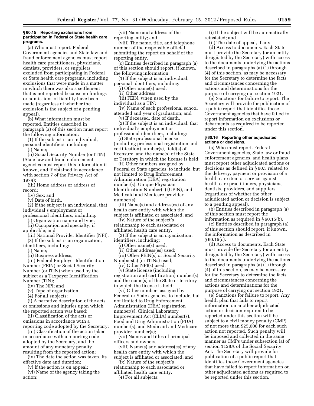#### **§ 60.15 Reporting exclusions from participation in Federal or State health care programs.**

(a) Who must report. Federal Government agencies and State law and fraud enforcement agencies must report health care practitioners, physicians, dentists, providers, or suppliers excluded from participating in Federal or State health care programs, including exclusions that were made in a matter in which there was also a settlement that is not reported because no findings or admissions of liability have been made (regardless of whether the exclusion is the subject of a pending appeal).

(b) What information must be reported. Entities described in paragraph (a) of this section must report the following information:

(1) If the subject is an individual, personal identifiers, including: (i) Name;

(ii) Social Security Number (or ITIN) (State law and fraud enforcement agencies must report this information if known, and if obtained in accordance with section 7 of the Privacy Act of 1974);

(iii) Home address or address of record;

(iv) Sex; and

(v) Date of birth.

(2) If the subject is an individual, that individual's employment or

professional identifiers, including:

(i) Organization name and type;

(ii) Occupation and specialty, if

applicable; and

(iii) National Provider Identifier (NPI). (3) If the subject is an organization,

identifiers, including: (i) Name;

(ii) Business address;

(iii) Federal Employer Identification Number (FEIN) or Social Security Number (or ITIN) when used by the subject as a Taxpayer Identification Number (TIN);

(iv) The NPI; and

(v) Type of organization.

(4) For all subjects:

(i) A narrative description of the acts or omissions and injuries upon which the reported action was based;

(ii) Classification of the acts or omissions in accordance with a reporting code adopted by the Secretary;

(iii) Classification of the action taken in accordance with a reporting code adopted by the Secretary, and the amount of any monetary penalty resulting from the reported action;

(iv) The date the action was taken, its effective date and duration;

(v) If the action is on appeal;

(vi) Name of the agency taking the action;

(vii) Name and address of the reporting entity; and

(viii) The name, title, and telephone number of the responsible official submitting the report on behalf of the reporting entity.

(c) Entities described in paragraph (a) of this section should report, if known, the following information:

(1) If the subject is an individual, personal identifiers, including:

(i) Other name(s) used;

(ii) Other address;

(iii) FEIN, when used by the

individual as a TIN;

(iv) Name of each professional school attended and year of graduation; and

(v) If deceased, date of death.

(2) If the subject is an individual, that individual's employment or professional identifiers, including:

(i) State professional license (including professional registration and certification) number(s), field(s) of licensure, and the name(s) of the State or Territory in which the license is held;

(ii) Other numbers assigned by Federal or State agencies, to include, but not limited to Drug Enforcement Administration (DEA) registration number(s), Unique Physician Identification Number(s) (UPIN), and Medicaid and Medicare provider number(s);

(iii) Name(s) and address(es) of any health care entity with which the subject is affiliated or associated; and

(iv) Nature of the subject's

relationship to each associated or affiliated health care entity.

(3) If the subject is an organization, identifiers, including:

(i) Other name(s) used;

(ii) Other address(es) used;

(iii) Other FEIN(s) or Social Security Numbers(s) (or ITINs) used;

(iv) Other NPI(s) used;

(v) State license (including registration and certification) number(s) and the name(s) of the State or territory in which the license is held;

(vi) Other numbers assigned by Federal or State agencies, to include, but not limited to Drug Enforcement Administration (DEA) registration number(s), Clinical Laboratory Improvement Act (CLIA) number(s), Food and Drug Administration (FDA) number(s), and Medicaid and Medicare provider number(s);

(vii) Names and titles of principal officers and owners;

(viii) Name(s) and address(es) of any health care entity with which the subject is affiliated or associated; and

(ix) Nature of the subject's relationship to each associated or affiliated health care entity.

(4) For all subjects:

(i) If the subject will be automatically reinstated; and

(ii) The date of appeal, if any.

(d) Access to documents. Each State must provide the Secretary (or an entity designated by the Secretary) with access to the documents underlying the actions described in paragraphs (a) (1) through (4) of this section, as may be necessary for the Secretary to determine the facts and circumstances concerning the actions and determinations for the purpose of carrying out section 1921.

(e) Sanctions for failure to report. The Secretary will provide for publication of a public report that identifies those Government agencies that have failed to report information on exclusions or debarments as required to be reported under this section.

#### **§ 60.16 Reporting other adjudicated actions or decisions.**

(a) Who must report. Federal Government agencies, State law or fraud enforcement agencies, and health plans must report other adjudicated actions or decisions as defined in § 60.3 related to the delivery, payment or provision of a health care item or service against health care practitioners, physicians, dentists, providers, and suppliers (regardless of whether the other adjudicated action or decision is subject to a pending appeal).

(b) Entities described in paragraph (a) of this section must report the information as required in § 60.15(b).

(c) Entities described in paragraph (a) of this section should report, if known, the information as described in  $§ 60.15(c)$ .

(d) Access to documents. Each State must provide the Secretary (or an entity designated by the Secretary) with access to the documents underlying the actions described in paragraphs (a) (1) through (4) of this section, as may be necessary for the Secretary to determine the facts and circumstances concerning the actions and determinations for the purpose of carrying out section 1921.

(e) Sanctions for failure to report. Any health plan that fails to report information on another adjudicated action or decision required to be reported under this section will be subject to a civil money penalty (CMP) of not more than \$25,000 for each such action not reported. Such penalty will be imposed and collected in the same manner as CMPs under subsection (a) of section 1128A of the Social Security Act. The Secretary will provide for publication of a public report that identifies those Government agencies that have failed to report information on other adjudicated actions as required to be reported under this section.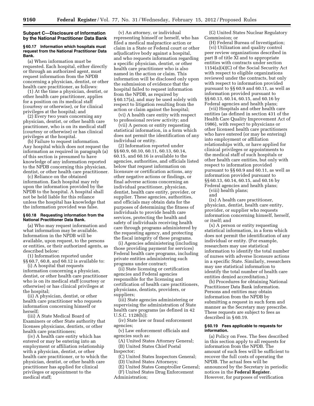# **Subpart C—Disclosure of Information by the National Practitioner Data Bank**

#### **§ 60.17 Information which hospitals must request from the National Practitioner Data Bank.**

(a) When information must be requested. Each hospital, either directly or through an authorized agent, must request information from the NPDB concerning a physician, dentist, or other health care practitioner, as follows:

(1) At the time a physician, dentist, or other health care practitioner, applies for a position on its medical staff (courtesy or otherwise), or for clinical privileges at the hospital; and

(2) Every two years concerning any physician, dentist, or other health care practitioner, who is on its medical staff (courtesy or otherwise) or has clinical privileges at the hospital.

(b) Failure to request information. Any hospital which does not request the information as required in paragraph (a) of this section is presumed to have knowledge of any information reported to the NPDB concerning this physician, dentist, or other health care practitioner.

(c) Reliance on the obtained information. Each hospital may rely upon the information provided by the NPDB to the hospital. A hospital shall not be held liable for this reliance unless the hospital has knowledge that the information provided was false.

#### **§ 60.18 Requesting information from the National Practitioner Data Bank.**

(a) Who may request information and what information may be available. Information in the NPDB will be available, upon request, to the persons or entities, or their authorized agents, as described below:

(1) Information reported under §§ 60.7, 60.8, and 60.12 is available to:

(i) A hospital that requests information concerning a physician, dentist, or other health care practitioner who is on its medical staff (courtesy or otherwise) or has clinical privileges at the hospital;

(ii) A physician, dentist, or other health care practitioner who requests information concerning himself or herself;

(iii) A State Medical Board of Examiners or other State authority that licenses physicians, dentists, or other health care practitioners;

(iv) A health care entity which has entered or may be entering into an employment or affiliation relationship with a physician, dentist, or other health care practitioner, or to which the physician, dentist, or other health care practitioner has applied for clinical privileges or appointment to the medical staff;

(v) An attorney, or individual representing himself or herself, who has filed a medical malpractice action or claim in a State or Federal court or other adjudicative body against a hospital, and who requests information regarding a specific physician, dentist, or other health care practitioner who is also named in the action or claim. This information will be disclosed only upon the submission of evidence that the hospital failed to request information from the NPDB, as required by § 60.17(a), and may be used solely with respect to litigation resulting from the action or claim against the hospital;

(vi) A health care entity with respect to professional review activity; and

(vii) A person or entity requesting statistical information, in a form which does not permit the identification of any individual or entity.

(2) Information reported under §§ 60.9, 60.10, 60.11, 60.13, 60.14, 60.15, and 60.16 is available to the agencies, authorities, and officials listed below that request information on licensure or certification actions, any other negative actions or findings, or final adverse actions concerning an individual practitioner, physician, dentist, health care entity, provider, or supplier. These agencies, authorities, and officials may obtain data for the purposes of determining the fitness of individuals to provide health care services, protecting the health and safety of individuals receiving health care through programs administered by the requesting agency, and protecting the fiscal integrity of these programs.

(i) Agencies administering (including those providing payment for services) Federal health care programs, including private entities administering such programs under contract;

(ii) State licensing or certification agencies and Federal agencies responsible for the licensing and certification of health care practitioners, physicians, dentists, providers, or suppliers;

(iii) State agencies administering or supervising the administration of State health care programs (as defined in 42 U.S.C. 1128(h));

(iv) State law or fraud enforcement agencies;

(v) Law enforcement officials and agencies such as:

(A) United States Attorney General; (B) United States Chief Postal Inspector;

(C) United States Inspectors General;

(D) United States Attorneys;

(E) United States Comptroller General;

(F) United States Drug Enforcement Administration;

(G) United States Nuclear Regulatory Commission; or

(H) Federal Bureau of Investigation; (vi) Utilization and quality control peer review organizations described in part B of title XI and to appropriate entities with contracts under section 1154(a)(4)(C) of the Social Security Act with respect to eligible organizations reviewed under the contracts, but only with respect to information provided pursuant to §§ 60.9 and 60.11, as well as information provided pursuant to §§ 60.13, 60.14, 60.15, and 60.16 by Federal agencies and health plans;

(vii) Hospitals and other health care entities (as defined in section 431 of the Health Care Quality Improvement Act of 1986), with respect to physicians or other licensed health care practitioners who have entered (or may be entering) into employment or affiliation relationships with, or have applied for clinical privileges or appointments to the medical staff of such hospitals or other health care entities, but only with respect to information provided pursuant to §§ 60.9 and 60.11, as well as information provided pursuant to §§ 60.13, 60.14, 60.15, and 60.16 by Federal agencies and health plans;

(viii) health plans;

and

(ix) A health care practitioner, physician, dentist, health care entity, provider, or supplier who requests information concerning himself, herself, or itself; and

(x) A person or entity requesting statistical information, in a form which does not permit the identification of any individual or entity. (For example, researchers may use statistical information to identify the total number of nurses with adverse licensure actions in a specific State. Similarly, researchers may use statistical information to identify the total number of health care entities denied accreditation.)

(b) Procedures for obtaining National Practitioner Data Bank information. Persons and entities may obtain information from the NPDB by submitting a request in such form and manner as the Secretary may prescribe. These requests are subject to fees as described in § 60.19.

#### **§ 60.19 Fees applicable to requests for information.**

(a) Policy on Fees. The fees described in this section apply to all requests for information from the NPDB. The amount of such fees will be sufficient to recover the full costs of operating the NPDB. The actual fees will be announced by the Secretary in periodic notices in the **Federal Register.**  However, for purposes of verification